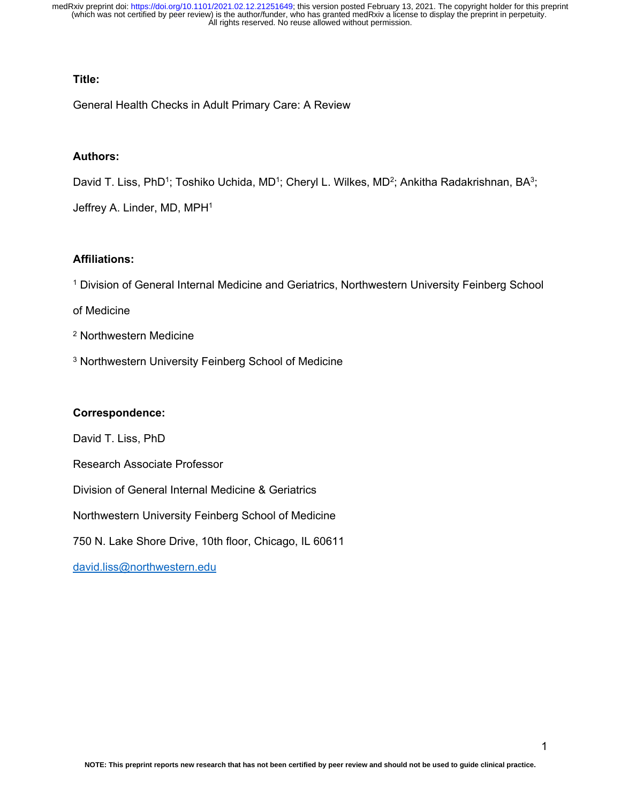# **Title:**

General Health Checks in Adult Primary Care: A Review

# **Authors:**

David T. Liss, PhD<sup>1</sup>; Toshiko Uchida, MD<sup>1</sup>; Cheryl L. Wilkes, MD<sup>2</sup>; Ankitha Radakrishnan, BA<sup>3</sup>;

Jeffrey A. Linder, MD, MPH<sup>1</sup>

# **Affiliations:**

<sup>1</sup> Division of General Internal Medicine and Geriatrics, Northwestern University Feinberg School

of Medicine

- <sup>2</sup> Northwestern Medicine
- <sup>3</sup> Northwestern University Feinberg School of Medicine

# **Correspondence:**

David T. Liss, PhD

Research Associate Professor

Division of General Internal Medicine & Geriatrics

Northwestern University Feinberg School of Medicine

750 N. Lake Shore Drive, 10th floor, Chicago, IL 60611

[david.liss@northwestern.edu](mailto:david.liss@northwestern.edu)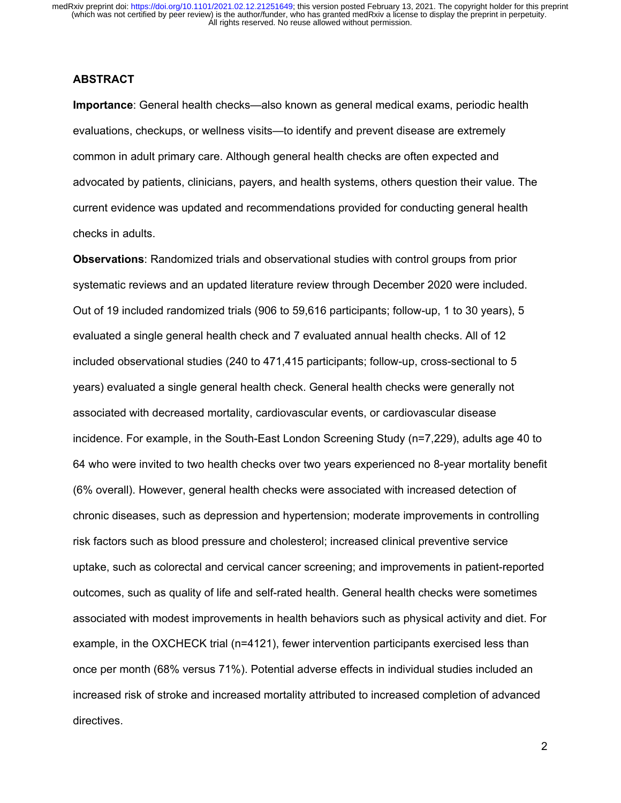# **ABSTRACT**

**Importance**: General health checks—also known as general medical exams, periodic health evaluations, checkups, or wellness visits—to identify and prevent disease are extremely common in adult primary care. Although general health checks are often expected and advocated by patients, clinicians, payers, and health systems, others question their value. The current evidence was updated and recommendations provided for conducting general health checks in adults.

**Observations**: Randomized trials and observational studies with control groups from prior systematic reviews and an updated literature review through December 2020 were included. Out of 19 included randomized trials (906 to 59,616 participants; follow-up, 1 to 30 years), 5 evaluated a single general health check and 7 evaluated annual health checks. All of 12 included observational studies (240 to 471,415 participants; follow-up, cross-sectional to 5 years) evaluated a single general health check. General health checks were generally not associated with decreased mortality, cardiovascular events, or cardiovascular disease incidence. For example, in the South-East London Screening Study (n=7,229), adults age 40 to 64 who were invited to two health checks over two years experienced no 8-year mortality benefit (6% overall). However, general health checks were associated with increased detection of chronic diseases, such as depression and hypertension; moderate improvements in controlling risk factors such as blood pressure and cholesterol; increased clinical preventive service uptake, such as colorectal and cervical cancer screening; and improvements in patient-reported outcomes, such as quality of life and self-rated health. General health checks were sometimes associated with modest improvements in health behaviors such as physical activity and diet. For example, in the OXCHECK trial (n=4121), fewer intervention participants exercised less than once per month (68% versus 71%). Potential adverse effects in individual studies included an increased risk of stroke and increased mortality attributed to increased completion of advanced directives.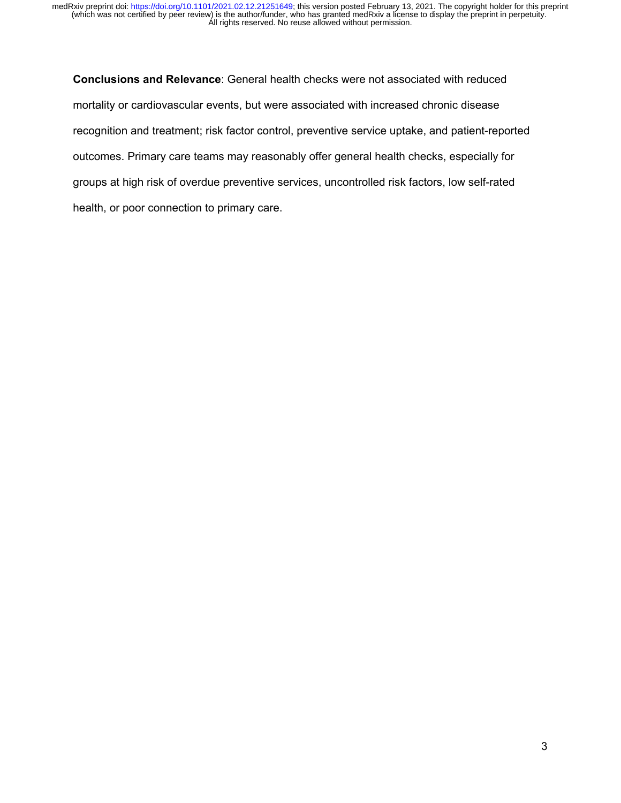**Conclusions and Relevance**: General health checks were not associated with reduced mortality or cardiovascular events, but were associated with increased chronic disease recognition and treatment; risk factor control, preventive service uptake, and patient-reported outcomes. Primary care teams may reasonably offer general health checks, especially for groups at high risk of overdue preventive services, uncontrolled risk factors, low self-rated health, or poor connection to primary care.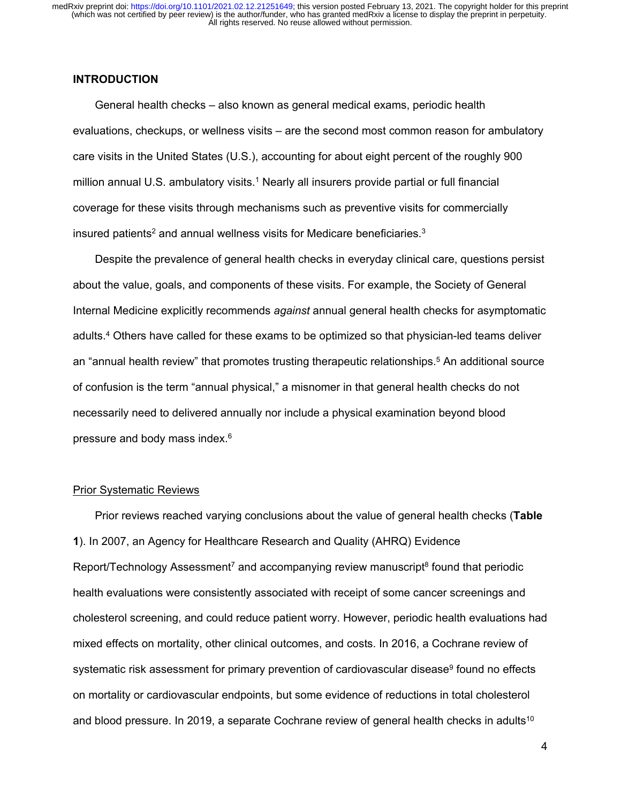# **INTRODUCTION**

General health checks – also known as general medical exams, periodic health evaluations, checkups, or wellness visits – are the second most common reason for ambulatory care visits in the United States (U.S.), accounting for about eight percent of the roughly 900 million annual U.S. ambulatory visits.<sup>1</sup> Nearly all insurers provide partial or full financial coverage for these visits through mechanisms such as preventive visits for commercially insured patients<sup>2</sup> and annual wellness visits for Medicare beneficiaries.<sup>3</sup>

Despite the prevalence of general health checks in everyday clinical care, questions persist about the value, goals, and components of these visits. For example, the Society of General Internal Medicine explicitly recommends *against* annual general health checks for asymptomatic adults.4 Others have called for these exams to be optimized so that physician-led teams deliver an "annual health review" that promotes trusting therapeutic relationships.5 An additional source of confusion is the term "annual physical," a misnomer in that general health checks do not necessarily need to delivered annually nor include a physical examination beyond blood pressure and body mass index.6

#### Prior Systematic Reviews

Prior reviews reached varying conclusions about the value of general health checks (**Table 1**). In 2007, an Agency for Healthcare Research and Quality (AHRQ) Evidence Report/Technology Assessment<sup>7</sup> and accompanying review manuscript<sup>8</sup> found that periodic health evaluations were consistently associated with receipt of some cancer screenings and cholesterol screening, and could reduce patient worry. However, periodic health evaluations had mixed effects on mortality, other clinical outcomes, and costs. In 2016, a Cochrane review of systematic risk assessment for primary prevention of cardiovascular disease<sup>9</sup> found no effects on mortality or cardiovascular endpoints, but some evidence of reductions in total cholesterol and blood pressure. In 2019, a separate Cochrane review of general health checks in adults<sup>10</sup>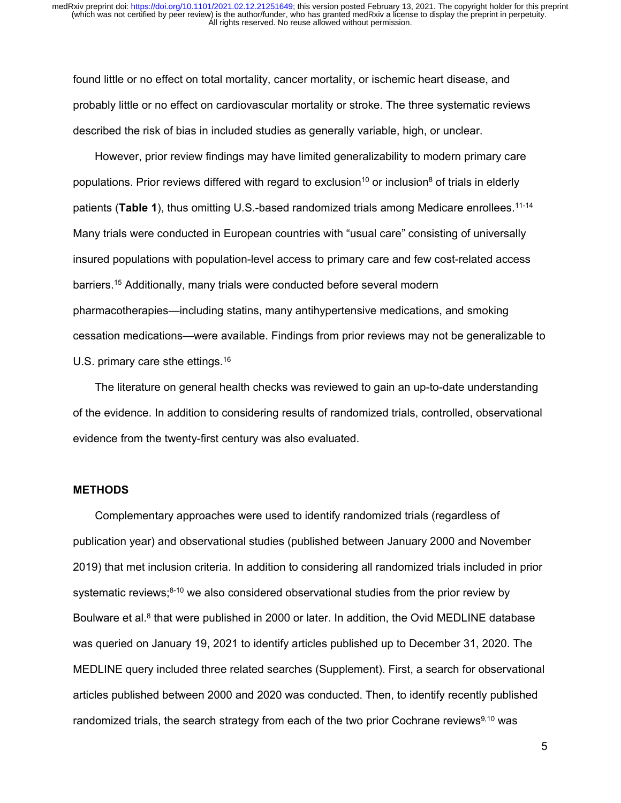found little or no effect on total mortality, cancer mortality, or ischemic heart disease, and probably little or no effect on cardiovascular mortality or stroke. The three systematic reviews described the risk of bias in included studies as generally variable, high, or unclear.

However, prior review findings may have limited generalizability to modern primary care populations. Prior reviews differed with regard to exclusion<sup>10</sup> or inclusion<sup>8</sup> of trials in elderly patients (**Table 1**), thus omitting U.S.-based randomized trials among Medicare enrollees.11-14 Many trials were conducted in European countries with "usual care" consisting of universally insured populations with population-level access to primary care and few cost-related access barriers.15 Additionally, many trials were conducted before several modern pharmacotherapies—including statins, many antihypertensive medications, and smoking cessation medications—were available. Findings from prior reviews may not be generalizable to U.S. primary care sthe ettings.<sup>16</sup>

The literature on general health checks was reviewed to gain an up-to-date understanding of the evidence. In addition to considering results of randomized trials, controlled, observational evidence from the twenty-first century was also evaluated.

#### **METHODS**

Complementary approaches were used to identify randomized trials (regardless of publication year) and observational studies (published between January 2000 and November 2019) that met inclusion criteria. In addition to considering all randomized trials included in prior systematic reviews; $8-10$  we also considered observational studies from the prior review by Boulware et al.<sup>8</sup> that were published in 2000 or later. In addition, the Ovid MEDLINE database was queried on January 19, 2021 to identify articles published up to December 31, 2020. The MEDLINE query included three related searches (Supplement). First, a search for observational articles published between 2000 and 2020 was conducted. Then, to identify recently published randomized trials, the search strategy from each of the two prior Cochrane reviews $9,10$  was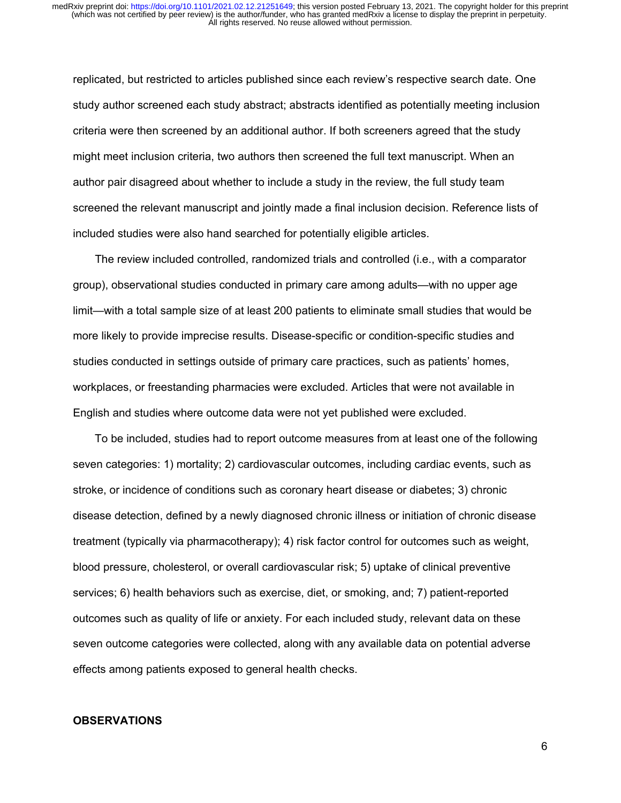replicated, but restricted to articles published since each review's respective search date. One study author screened each study abstract; abstracts identified as potentially meeting inclusion criteria were then screened by an additional author. If both screeners agreed that the study might meet inclusion criteria, two authors then screened the full text manuscript. When an author pair disagreed about whether to include a study in the review, the full study team screened the relevant manuscript and jointly made a final inclusion decision. Reference lists of included studies were also hand searched for potentially eligible articles.

The review included controlled, randomized trials and controlled (i.e., with a comparator group), observational studies conducted in primary care among adults—with no upper age limit—with a total sample size of at least 200 patients to eliminate small studies that would be more likely to provide imprecise results. Disease-specific or condition-specific studies and studies conducted in settings outside of primary care practices, such as patients' homes, workplaces, or freestanding pharmacies were excluded. Articles that were not available in English and studies where outcome data were not yet published were excluded.

To be included, studies had to report outcome measures from at least one of the following seven categories: 1) mortality; 2) cardiovascular outcomes, including cardiac events, such as stroke, or incidence of conditions such as coronary heart disease or diabetes; 3) chronic disease detection, defined by a newly diagnosed chronic illness or initiation of chronic disease treatment (typically via pharmacotherapy); 4) risk factor control for outcomes such as weight, blood pressure, cholesterol, or overall cardiovascular risk; 5) uptake of clinical preventive services; 6) health behaviors such as exercise, diet, or smoking, and; 7) patient-reported outcomes such as quality of life or anxiety. For each included study, relevant data on these seven outcome categories were collected, along with any available data on potential adverse effects among patients exposed to general health checks.

### **OBSERVATIONS**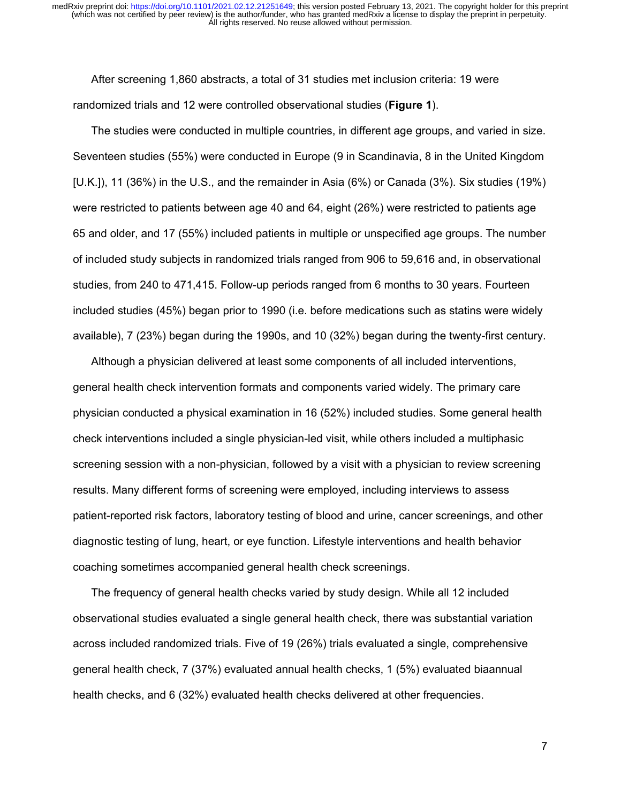After screening 1,860 abstracts, a total of 31 studies met inclusion criteria: 19 were randomized trials and 12 were controlled observational studies (**Figure 1**).

The studies were conducted in multiple countries, in different age groups, and varied in size. Seventeen studies (55%) were conducted in Europe (9 in Scandinavia, 8 in the United Kingdom [U.K.]), 11 (36%) in the U.S., and the remainder in Asia (6%) or Canada (3%). Six studies (19%) were restricted to patients between age 40 and 64, eight (26%) were restricted to patients age 65 and older, and 17 (55%) included patients in multiple or unspecified age groups. The number of included study subjects in randomized trials ranged from 906 to 59,616 and, in observational studies, from 240 to 471,415. Follow-up periods ranged from 6 months to 30 years. Fourteen included studies (45%) began prior to 1990 (i.e. before medications such as statins were widely available), 7 (23%) began during the 1990s, and 10 (32%) began during the twenty-first century.

Although a physician delivered at least some components of all included interventions, general health check intervention formats and components varied widely. The primary care physician conducted a physical examination in 16 (52%) included studies. Some general health check interventions included a single physician-led visit, while others included a multiphasic screening session with a non-physician, followed by a visit with a physician to review screening results. Many different forms of screening were employed, including interviews to assess patient-reported risk factors, laboratory testing of blood and urine, cancer screenings, and other diagnostic testing of lung, heart, or eye function. Lifestyle interventions and health behavior coaching sometimes accompanied general health check screenings.

The frequency of general health checks varied by study design. While all 12 included observational studies evaluated a single general health check, there was substantial variation across included randomized trials. Five of 19 (26%) trials evaluated a single, comprehensive general health check, 7 (37%) evaluated annual health checks, 1 (5%) evaluated biaannual health checks, and 6 (32%) evaluated health checks delivered at other frequencies.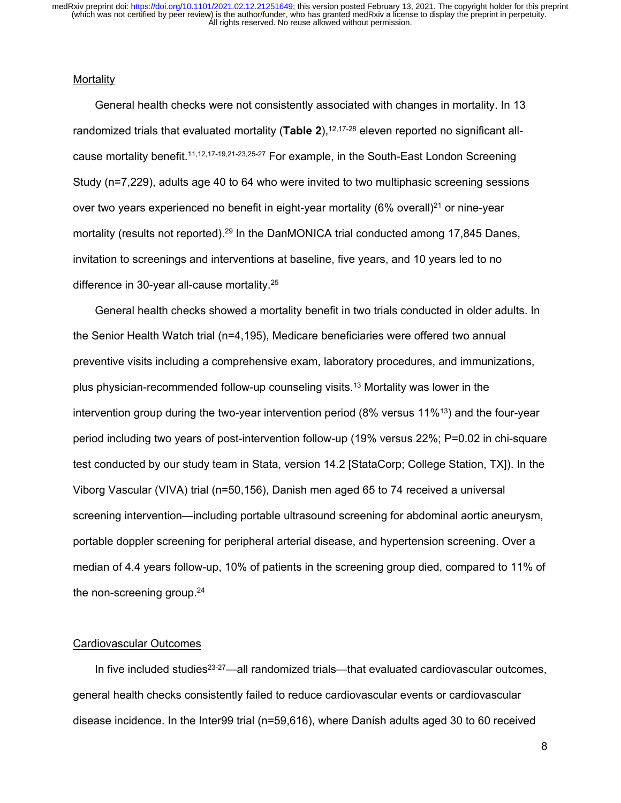#### **Mortality**

General health checks were not consistently associated with changes in mortality. In 13 randomized trials that evaluated mortality (Table 2),<sup>12,17-28</sup> eleven reported no significant allcause mortality benefit.11,12,17-19,21-23,25-27 For example, in the South-East London Screening Study (n=7,229), adults age 40 to 64 who were invited to two multiphasic screening sessions over two years experienced no benefit in eight-year mortality  $(6\%$  overall)<sup>21</sup> or nine-year mortality (results not reported).<sup>29</sup> In the DanMONICA trial conducted among 17,845 Danes, invitation to screenings and interventions at baseline, five years, and 10 years led to no difference in 30-year all-cause mortality.25

General health checks showed a mortality benefit in two trials conducted in older adults. In the Senior Health Watch trial (n=4,195), Medicare beneficiaries were offered two annual preventive visits including a comprehensive exam, laboratory procedures, and immunizations, plus physician-recommended follow-up counseling visits.13 Mortality was lower in the intervention group during the two-year intervention period (8% versus 11%<sup>13</sup>) and the four-year period including two years of post-intervention follow-up (19% versus 22%; P=0.02 in chi-square test conducted by our study team in Stata, version 14.2 [StataCorp; College Station, TX]). In the Viborg Vascular (VIVA) trial (n=50,156), Danish men aged 65 to 74 received a universal screening intervention—including portable ultrasound screening for abdominal aortic aneurysm, portable doppler screening for peripheral arterial disease, and hypertension screening. Over a median of 4.4 years follow-up, 10% of patients in the screening group died, compared to 11% of the non-screening group.<sup>24</sup>

## Cardiovascular Outcomes

In five included studies<sup>23-27</sup>—all randomized trials—that evaluated cardiovascular outcomes, general health checks consistently failed to reduce cardiovascular events or cardiovascular disease incidence. In the Inter99 trial (n=59,616), where Danish adults aged 30 to 60 received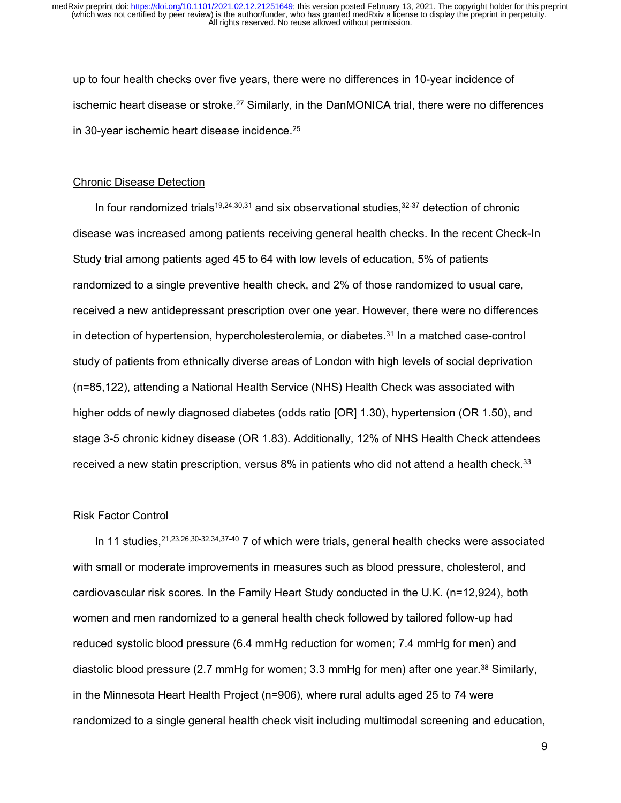up to four health checks over five years, there were no differences in 10-year incidence of ischemic heart disease or stroke. $27$  Similarly, in the DanMONICA trial, there were no differences in 30-year ischemic heart disease incidence.25

#### Chronic Disease Detection

In four randomized trials<sup>19,24,30,31</sup> and six observational studies,  $32-37$  detection of chronic disease was increased among patients receiving general health checks. In the recent Check-In Study trial among patients aged 45 to 64 with low levels of education, 5% of patients randomized to a single preventive health check, and 2% of those randomized to usual care, received a new antidepressant prescription over one year. However, there were no differences in detection of hypertension, hypercholesterolemia, or diabetes.<sup>31</sup> In a matched case-control study of patients from ethnically diverse areas of London with high levels of social deprivation (n=85,122), attending a National Health Service (NHS) Health Check was associated with higher odds of newly diagnosed diabetes (odds ratio [OR] 1.30), hypertension (OR 1.50), and stage 3-5 chronic kidney disease (OR 1.83). Additionally, 12% of NHS Health Check attendees received a new statin prescription, versus 8% in patients who did not attend a health check.<sup>33</sup>

#### Risk Factor Control

In 11 studies,  $21,23,26,30-32,34,37-40$  7 of which were trials, general health checks were associated with small or moderate improvements in measures such as blood pressure, cholesterol, and cardiovascular risk scores. In the Family Heart Study conducted in the U.K. (n=12,924), both women and men randomized to a general health check followed by tailored follow-up had reduced systolic blood pressure (6.4 mmHg reduction for women; 7.4 mmHg for men) and diastolic blood pressure (2.7 mmHg for women; 3.3 mmHg for men) after one year.<sup>38</sup> Similarly, in the Minnesota Heart Health Project (n=906), where rural adults aged 25 to 74 were randomized to a single general health check visit including multimodal screening and education,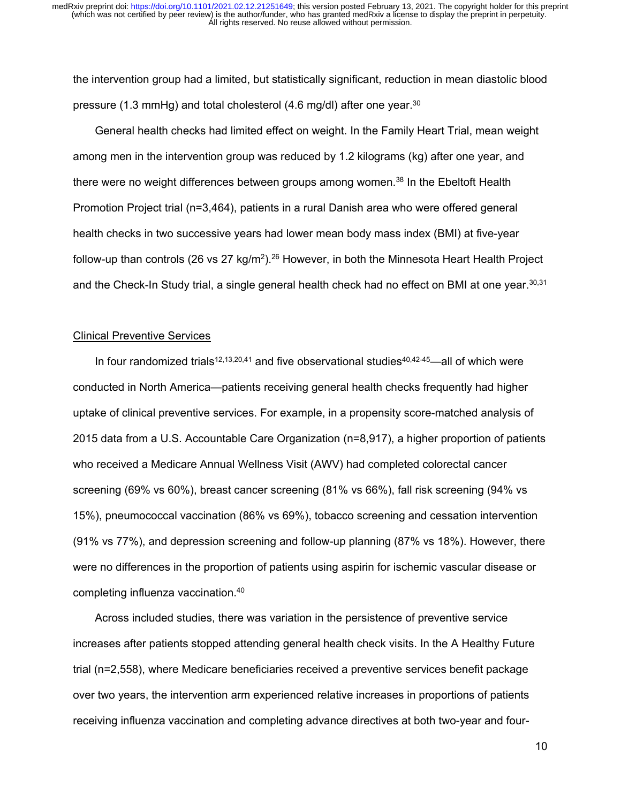the intervention group had a limited, but statistically significant, reduction in mean diastolic blood pressure (1.3 mmHg) and total cholesterol (4.6 mg/dl) after one year.30

General health checks had limited effect on weight. In the Family Heart Trial, mean weight among men in the intervention group was reduced by 1.2 kilograms (kg) after one year, and there were no weight differences between groups among women.<sup>38</sup> In the Ebeltoft Health Promotion Project trial (n=3,464), patients in a rural Danish area who were offered general health checks in two successive years had lower mean body mass index (BMI) at five-year follow-up than controls (26 vs 27 kg/m<sup>2</sup>).<sup>26</sup> However, in both the Minnesota Heart Health Project and the Check-In Study trial, a single general health check had no effect on BMI at one year.<sup>30,31</sup>

#### Clinical Preventive Services

In four randomized trials<sup>12,13,20,41</sup> and five observational studies<sup>40,42-45</sup>—all of which were conducted in North America—patients receiving general health checks frequently had higher uptake of clinical preventive services. For example, in a propensity score-matched analysis of 2015 data from a U.S. Accountable Care Organization (n=8,917), a higher proportion of patients who received a Medicare Annual Wellness Visit (AWV) had completed colorectal cancer screening (69% vs 60%), breast cancer screening (81% vs 66%), fall risk screening (94% vs 15%), pneumococcal vaccination (86% vs 69%), tobacco screening and cessation intervention (91% vs 77%), and depression screening and follow-up planning (87% vs 18%). However, there were no differences in the proportion of patients using aspirin for ischemic vascular disease or completing influenza vaccination.40

Across included studies, there was variation in the persistence of preventive service increases after patients stopped attending general health check visits. In the A Healthy Future trial (n=2,558), where Medicare beneficiaries received a preventive services benefit package over two years, the intervention arm experienced relative increases in proportions of patients receiving influenza vaccination and completing advance directives at both two-year and four-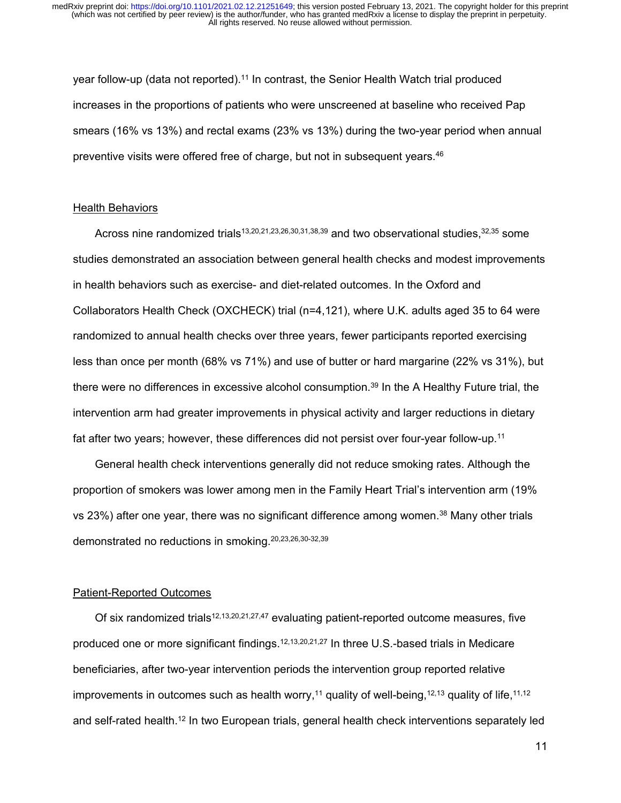year follow-up (data not reported).<sup>11</sup> In contrast, the Senior Health Watch trial produced increases in the proportions of patients who were unscreened at baseline who received Pap smears (16% vs 13%) and rectal exams (23% vs 13%) during the two-year period when annual preventive visits were offered free of charge, but not in subsequent years.<sup>46</sup>

#### Health Behaviors

Across nine randomized trials<sup>13,20,21,23,26,30,31,38,39</sup> and two observational studies,<sup>32,35</sup> some studies demonstrated an association between general health checks and modest improvements in health behaviors such as exercise- and diet-related outcomes. In the Oxford and Collaborators Health Check (OXCHECK) trial (n=4,121), where U.K. adults aged 35 to 64 were randomized to annual health checks over three years, fewer participants reported exercising less than once per month (68% vs 71%) and use of butter or hard margarine (22% vs 31%), but there were no differences in excessive alcohol consumption.<sup>39</sup> In the A Healthy Future trial, the intervention arm had greater improvements in physical activity and larger reductions in dietary fat after two years; however, these differences did not persist over four-year follow-up.11

General health check interventions generally did not reduce smoking rates. Although the proportion of smokers was lower among men in the Family Heart Trial's intervention arm (19% vs 23%) after one year, there was no significant difference among women.38 Many other trials demonstrated no reductions in smoking.20,23,26,30-32,39

## Patient-Reported Outcomes

Of six randomized trials<sup>12,13,20,21,27,47</sup> evaluating patient-reported outcome measures, five produced one or more significant findings.<sup>12,13,20,21,27</sup> In three U.S.-based trials in Medicare beneficiaries, after two-year intervention periods the intervention group reported relative improvements in outcomes such as health worry,<sup>11</sup> quality of well-being,<sup>12,13</sup> quality of life,<sup>11,12</sup> and self-rated health.12 In two European trials, general health check interventions separately led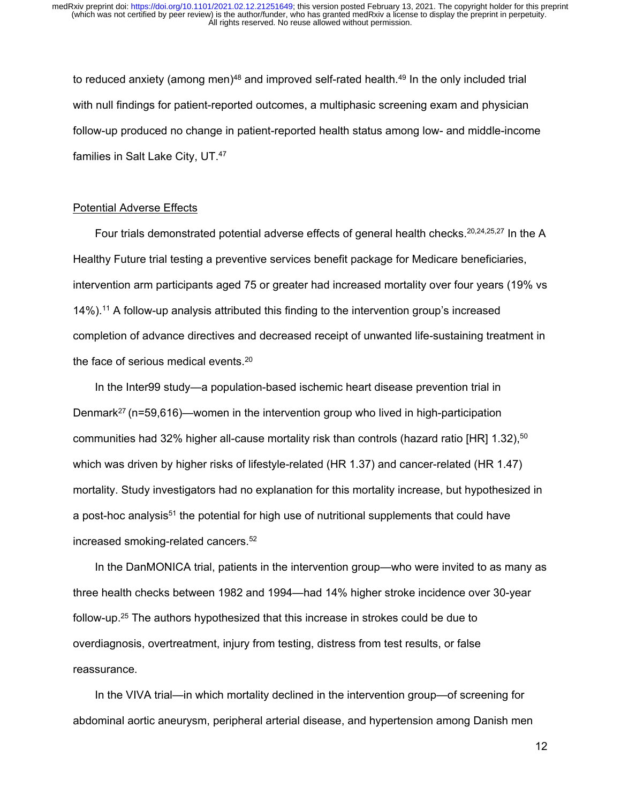to reduced anxiety (among men) $48$  and improved self-rated health. $49$  In the only included trial with null findings for patient-reported outcomes, a multiphasic screening exam and physician follow-up produced no change in patient-reported health status among low- and middle-income families in Salt Lake City, UT.47

#### Potential Adverse Effects

Four trials demonstrated potential adverse effects of general health checks.<sup>20,24,25,27</sup> In the A Healthy Future trial testing a preventive services benefit package for Medicare beneficiaries, intervention arm participants aged 75 or greater had increased mortality over four years (19% vs 14%).11 A follow-up analysis attributed this finding to the intervention group's increased completion of advance directives and decreased receipt of unwanted life-sustaining treatment in the face of serious medical events.20

In the Inter99 study—a population-based ischemic heart disease prevention trial in Denmark<sup>27</sup> (n=59,616)—women in the intervention group who lived in high-participation communities had 32% higher all-cause mortality risk than controls (hazard ratio [HR]  $1.32$ ),<sup>50</sup> which was driven by higher risks of lifestyle-related (HR 1.37) and cancer-related (HR 1.47) mortality. Study investigators had no explanation for this mortality increase, but hypothesized in a post-hoc analysis<sup>51</sup> the potential for high use of nutritional supplements that could have increased smoking-related cancers.<sup>52</sup>

In the DanMONICA trial, patients in the intervention group—who were invited to as many as three health checks between 1982 and 1994—had 14% higher stroke incidence over 30-year follow-up.25 The authors hypothesized that this increase in strokes could be due to overdiagnosis, overtreatment, injury from testing, distress from test results, or false reassurance.

In the VIVA trial—in which mortality declined in the intervention group—of screening for abdominal aortic aneurysm, peripheral arterial disease, and hypertension among Danish men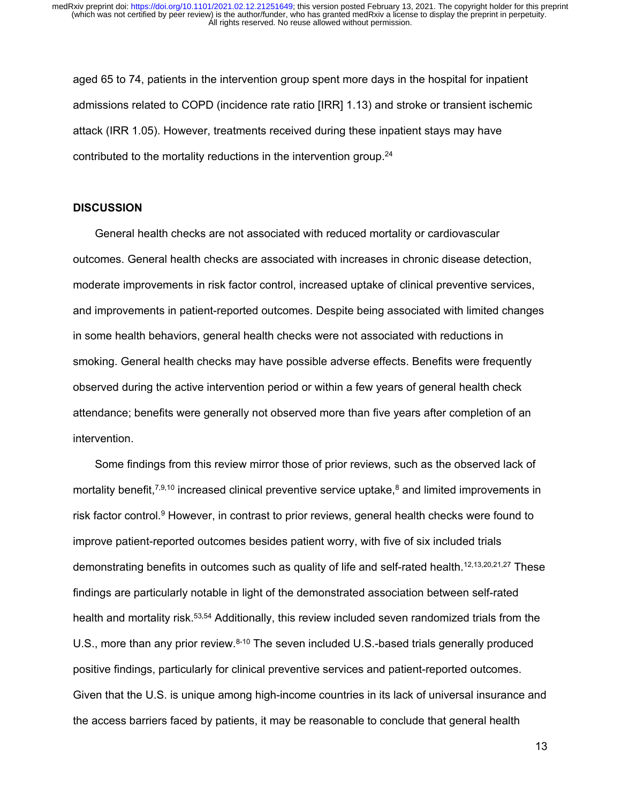aged 65 to 74, patients in the intervention group spent more days in the hospital for inpatient admissions related to COPD (incidence rate ratio [IRR] 1.13) and stroke or transient ischemic attack (IRR 1.05). However, treatments received during these inpatient stays may have contributed to the mortality reductions in the intervention group.<sup>24</sup>

#### **DISCUSSION**

General health checks are not associated with reduced mortality or cardiovascular outcomes. General health checks are associated with increases in chronic disease detection, moderate improvements in risk factor control, increased uptake of clinical preventive services, and improvements in patient-reported outcomes. Despite being associated with limited changes in some health behaviors, general health checks were not associated with reductions in smoking. General health checks may have possible adverse effects. Benefits were frequently observed during the active intervention period or within a few years of general health check attendance; benefits were generally not observed more than five years after completion of an intervention.

Some findings from this review mirror those of prior reviews, such as the observed lack of mortality benefit,<sup>7,9,10</sup> increased clinical preventive service uptake,<sup>8</sup> and limited improvements in risk factor control.9 However, in contrast to prior reviews, general health checks were found to improve patient-reported outcomes besides patient worry, with five of six included trials demonstrating benefits in outcomes such as quality of life and self-rated health.<sup>12,13,20,21,27</sup> These findings are particularly notable in light of the demonstrated association between self-rated health and mortality risk.<sup>53,54</sup> Additionally, this review included seven randomized trials from the U.S., more than any prior review.<sup>8-10</sup> The seven included U.S.-based trials generally produced positive findings, particularly for clinical preventive services and patient-reported outcomes. Given that the U.S. is unique among high-income countries in its lack of universal insurance and the access barriers faced by patients, it may be reasonable to conclude that general health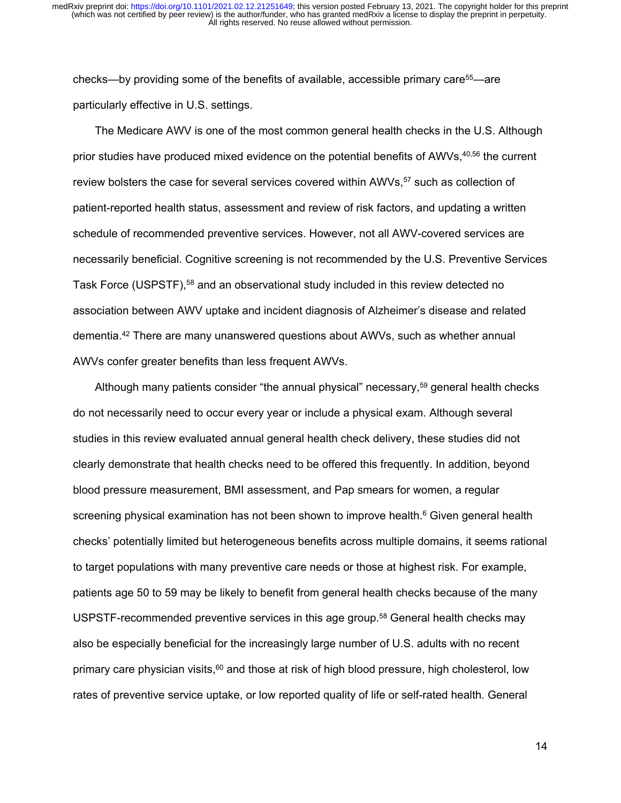checks—by providing some of the benefits of available, accessible primary care<sup>55</sup>—are particularly effective in U.S. settings.

The Medicare AWV is one of the most common general health checks in the U.S. Although prior studies have produced mixed evidence on the potential benefits of AWVs, 40,56 the current review bolsters the case for several services covered within AWVs,<sup>57</sup> such as collection of patient-reported health status, assessment and review of risk factors, and updating a written schedule of recommended preventive services. However, not all AWV-covered services are necessarily beneficial. Cognitive screening is not recommended by the U.S. Preventive Services Task Force (USPSTF),<sup>58</sup> and an observational study included in this review detected no association between AWV uptake and incident diagnosis of Alzheimer's disease and related dementia.42 There are many unanswered questions about AWVs, such as whether annual AWVs confer greater benefits than less frequent AWVs.

Although many patients consider "the annual physical" necessary,59 general health checks do not necessarily need to occur every year or include a physical exam. Although several studies in this review evaluated annual general health check delivery, these studies did not clearly demonstrate that health checks need to be offered this frequently. In addition, beyond blood pressure measurement, BMI assessment, and Pap smears for women, a regular screening physical examination has not been shown to improve health.<sup>6</sup> Given general health checks' potentially limited but heterogeneous benefits across multiple domains, it seems rational to target populations with many preventive care needs or those at highest risk. For example, patients age 50 to 59 may be likely to benefit from general health checks because of the many USPSTF-recommended preventive services in this age group.<sup>58</sup> General health checks may also be especially beneficial for the increasingly large number of U.S. adults with no recent primary care physician visits, $^{60}$  and those at risk of high blood pressure, high cholesterol, low rates of preventive service uptake, or low reported quality of life or self-rated health. General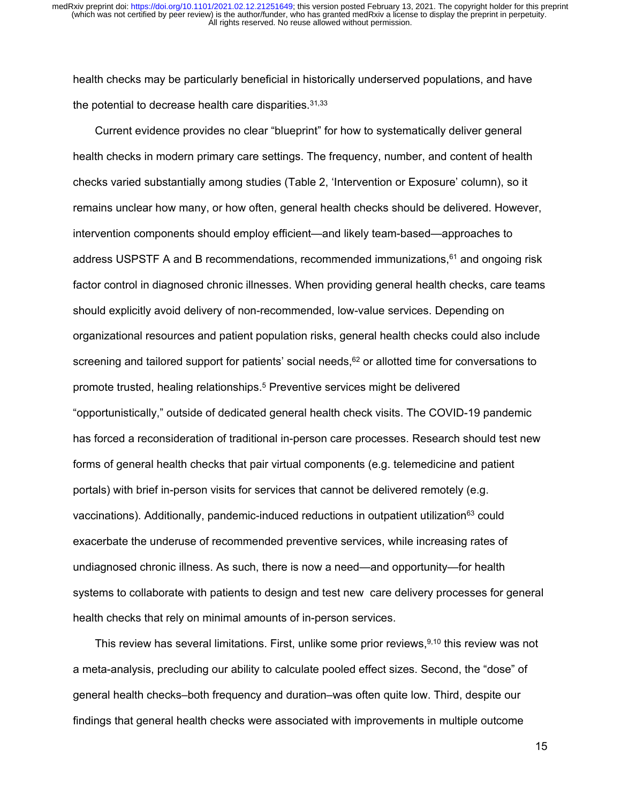health checks may be particularly beneficial in historically underserved populations, and have the potential to decrease health care disparities.31,33

Current evidence provides no clear "blueprint" for how to systematically deliver general health checks in modern primary care settings. The frequency, number, and content of health checks varied substantially among studies (Table 2, 'Intervention or Exposure' column), so it remains unclear how many, or how often, general health checks should be delivered. However, intervention components should employ efficient—and likely team-based—approaches to address USPSTF A and B recommendations, recommended immunizations, <sup>61</sup> and ongoing risk factor control in diagnosed chronic illnesses. When providing general health checks, care teams should explicitly avoid delivery of non-recommended, low-value services. Depending on organizational resources and patient population risks, general health checks could also include screening and tailored support for patients' social needs, $62$  or allotted time for conversations to promote trusted, healing relationships.5 Preventive services might be delivered "opportunistically," outside of dedicated general health check visits. The COVID-19 pandemic has forced a reconsideration of traditional in-person care processes. Research should test new forms of general health checks that pair virtual components (e.g. telemedicine and patient portals) with brief in-person visits for services that cannot be delivered remotely (e.g. vaccinations). Additionally, pandemic-induced reductions in outpatient utilization<sup>63</sup> could exacerbate the underuse of recommended preventive services, while increasing rates of undiagnosed chronic illness. As such, there is now a need—and opportunity—for health systems to collaborate with patients to design and test new care delivery processes for general health checks that rely on minimal amounts of in-person services.

This review has several limitations. First, unlike some prior reviews,  $9,10$  this review was not a meta-analysis, precluding our ability to calculate pooled effect sizes. Second, the "dose" of general health checks–both frequency and duration–was often quite low. Third, despite our findings that general health checks were associated with improvements in multiple outcome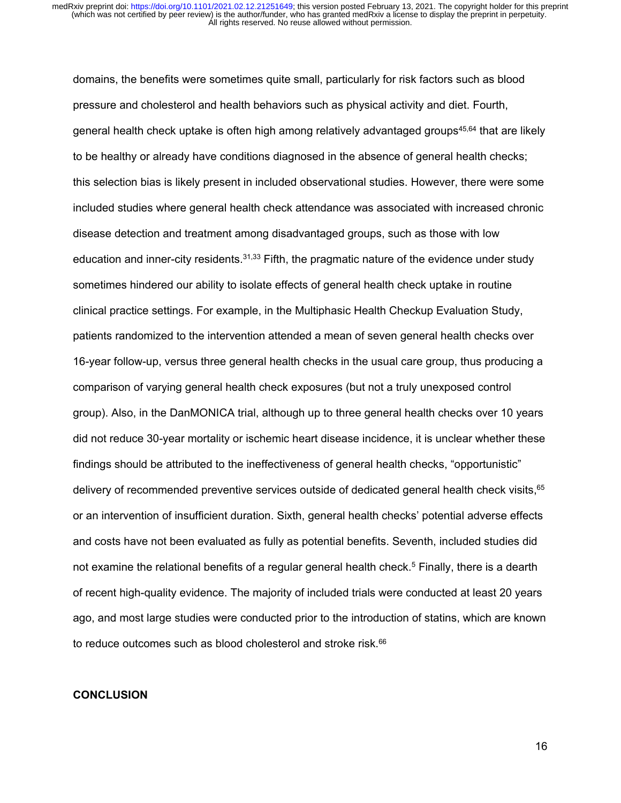domains, the benefits were sometimes quite small, particularly for risk factors such as blood pressure and cholesterol and health behaviors such as physical activity and diet. Fourth, general health check uptake is often high among relatively advantaged groups45,64 that are likely to be healthy or already have conditions diagnosed in the absence of general health checks; this selection bias is likely present in included observational studies. However, there were some included studies where general health check attendance was associated with increased chronic disease detection and treatment among disadvantaged groups, such as those with low education and inner-city residents.<sup>31,33</sup> Fifth, the pragmatic nature of the evidence under study sometimes hindered our ability to isolate effects of general health check uptake in routine clinical practice settings. For example, in the Multiphasic Health Checkup Evaluation Study, patients randomized to the intervention attended a mean of seven general health checks over 16-year follow-up, versus three general health checks in the usual care group, thus producing a comparison of varying general health check exposures (but not a truly unexposed control group). Also, in the DanMONICA trial, although up to three general health checks over 10 years did not reduce 30-year mortality or ischemic heart disease incidence, it is unclear whether these findings should be attributed to the ineffectiveness of general health checks, "opportunistic" delivery of recommended preventive services outside of dedicated general health check visits, 65 or an intervention of insufficient duration. Sixth, general health checks' potential adverse effects and costs have not been evaluated as fully as potential benefits. Seventh, included studies did not examine the relational benefits of a regular general health check.<sup>5</sup> Finally, there is a dearth of recent high-quality evidence. The majority of included trials were conducted at least 20 years ago, and most large studies were conducted prior to the introduction of statins, which are known to reduce outcomes such as blood cholesterol and stroke risk.<sup>66</sup>

## **CONCLUSION**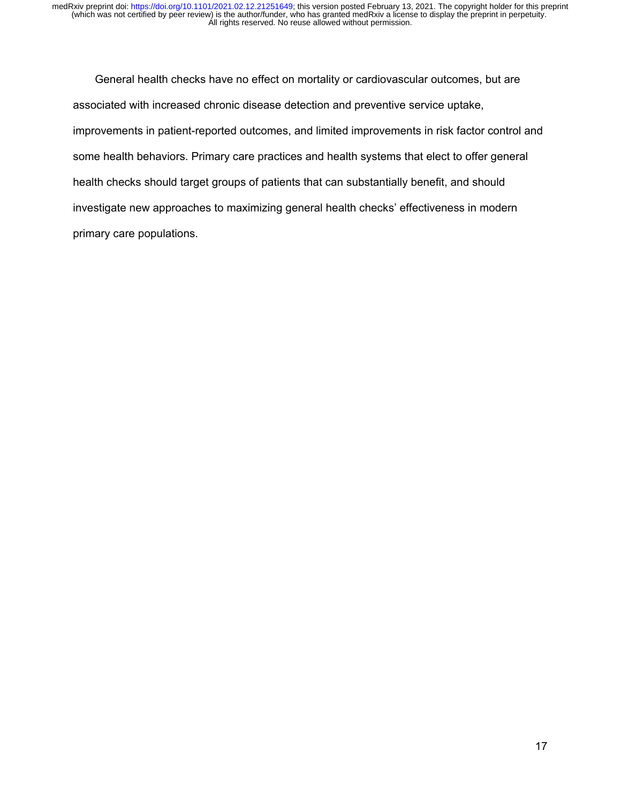General health checks have no effect on mortality or cardiovascular outcomes, but are associated with increased chronic disease detection and preventive service uptake, improvements in patient-reported outcomes, and limited improvements in risk factor control and some health behaviors. Primary care practices and health systems that elect to offer general health checks should target groups of patients that can substantially benefit, and should investigate new approaches to maximizing general health checks' effectiveness in modern primary care populations.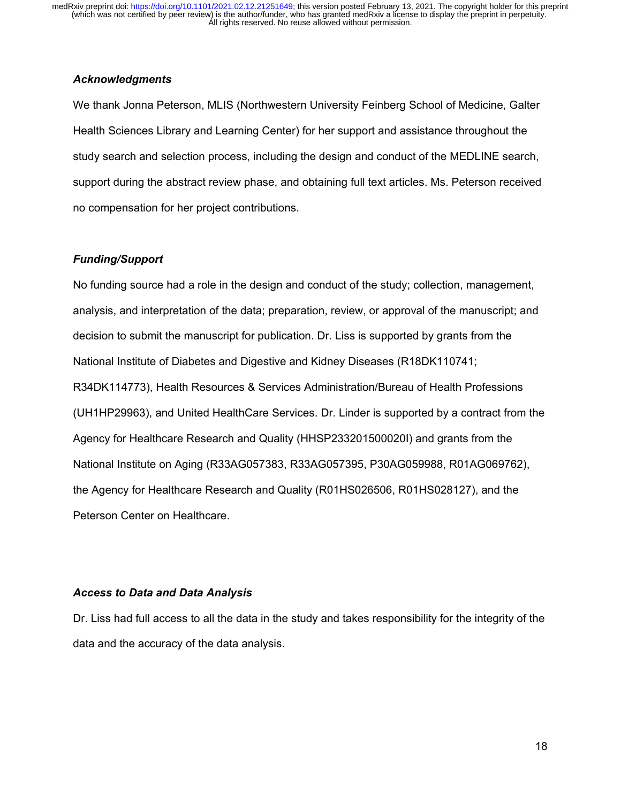# *Acknowledgments*

We thank Jonna Peterson, MLIS (Northwestern University Feinberg School of Medicine, Galter Health Sciences Library and Learning Center) for her support and assistance throughout the study search and selection process, including the design and conduct of the MEDLINE search, support during the abstract review phase, and obtaining full text articles. Ms. Peterson received no compensation for her project contributions.

## *Funding/Support*

No funding source had a role in the design and conduct of the study; collection, management, analysis, and interpretation of the data; preparation, review, or approval of the manuscript; and decision to submit the manuscript for publication. Dr. Liss is supported by grants from the National Institute of Diabetes and Digestive and Kidney Diseases (R18DK110741; R34DK114773), Health Resources & Services Administration/Bureau of Health Professions (UH1HP29963), and United HealthCare Services. Dr. Linder is supported by a contract from the Agency for Healthcare Research and Quality (HHSP233201500020I) and grants from the National Institute on Aging (R33AG057383, R33AG057395, P30AG059988, R01AG069762), the Agency for Healthcare Research and Quality (R01HS026506, R01HS028127), and the Peterson Center on Healthcare.

## *Access to Data and Data Analysis*

Dr. Liss had full access to all the data in the study and takes responsibility for the integrity of the data and the accuracy of the data analysis.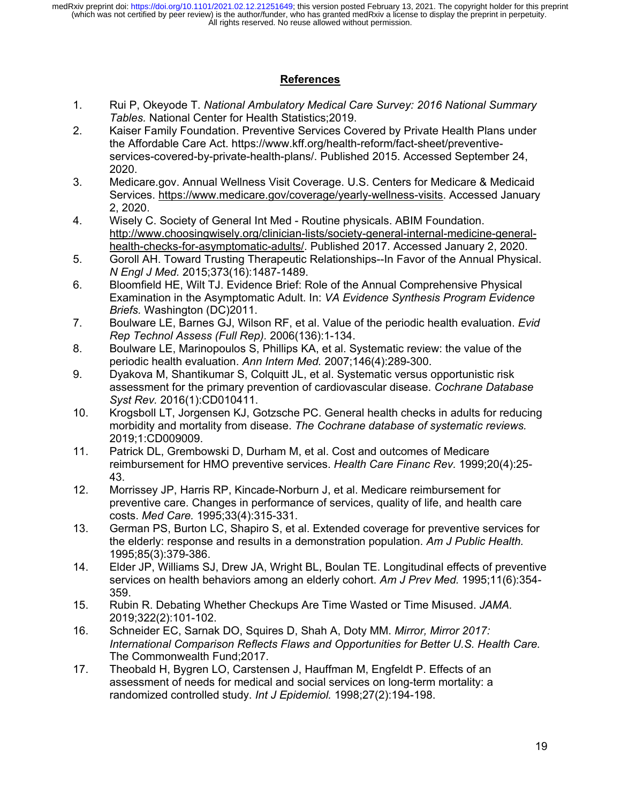# **References**

- 1. Rui P, Okeyode T. *National Ambulatory Medical Care Survey: 2016 National Summary Tables.* National Center for Health Statistics;2019.
- 2. Kaiser Family Foundation. Preventive Services Covered by Private Health Plans under the Affordable Care Act. https://www.kff.org/health-reform/fact-sheet/preventiveservices-covered-by-private-health-plans/. Published 2015. Accessed September 24, 2020.
- 3. Medicare.gov. Annual Wellness Visit Coverage. U.S. Centers for Medicare & Medicaid Services. https://www.medicare.gov/coverage/yearly-wellness-visits. Accessed January 2, 2020.
- 4. Wisely C. Society of General Int Med Routine physicals. ABIM Foundation. http://www.choosingwisely.org/clinician-lists/society-general-internal-medicine-generalhealth-checks-for-asymptomatic-adults/. Published 2017. Accessed January 2, 2020.
- 5. Goroll AH. Toward Trusting Therapeutic Relationships--In Favor of the Annual Physical. *N Engl J Med.* 2015;373(16):1487-1489.
- 6. Bloomfield HE, Wilt TJ. Evidence Brief: Role of the Annual Comprehensive Physical Examination in the Asymptomatic Adult. In: *VA Evidence Synthesis Program Evidence Briefs.* Washington (DC)2011.
- 7. Boulware LE, Barnes GJ, Wilson RF, et al. Value of the periodic health evaluation. *Evid Rep Technol Assess (Full Rep).* 2006(136):1-134.
- 8. Boulware LE, Marinopoulos S, Phillips KA, et al. Systematic review: the value of the periodic health evaluation. *Ann Intern Med.* 2007;146(4):289-300.
- 9. Dyakova M, Shantikumar S, Colquitt JL, et al. Systematic versus opportunistic risk assessment for the primary prevention of cardiovascular disease. *Cochrane Database Syst Rev.* 2016(1):CD010411.
- 10. Krogsboll LT, Jorgensen KJ, Gotzsche PC. General health checks in adults for reducing morbidity and mortality from disease. *The Cochrane database of systematic reviews.*  2019;1:CD009009.
- 11. Patrick DL, Grembowski D, Durham M, et al. Cost and outcomes of Medicare reimbursement for HMO preventive services. *Health Care Financ Rev.* 1999;20(4):25- 43.
- 12. Morrissey JP, Harris RP, Kincade-Norburn J, et al. Medicare reimbursement for preventive care. Changes in performance of services, quality of life, and health care costs. *Med Care.* 1995;33(4):315-331.
- 13. German PS, Burton LC, Shapiro S, et al. Extended coverage for preventive services for the elderly: response and results in a demonstration population. *Am J Public Health.*  1995;85(3):379-386.
- 14. Elder JP, Williams SJ, Drew JA, Wright BL, Boulan TE. Longitudinal effects of preventive services on health behaviors among an elderly cohort. *Am J Prev Med.* 1995;11(6):354- 359.
- 15. Rubin R. Debating Whether Checkups Are Time Wasted or Time Misused. *JAMA.*  2019;322(2):101-102.
- 16. Schneider EC, Sarnak DO, Squires D, Shah A, Doty MM. *Mirror, Mirror 2017: International Comparison Reflects Flaws and Opportunities for Better U.S. Health Care.* The Commonwealth Fund;2017.
- 17. Theobald H, Bygren LO, Carstensen J, Hauffman M, Engfeldt P. Effects of an assessment of needs for medical and social services on long-term mortality: a randomized controlled study. *Int J Epidemiol.* 1998;27(2):194-198.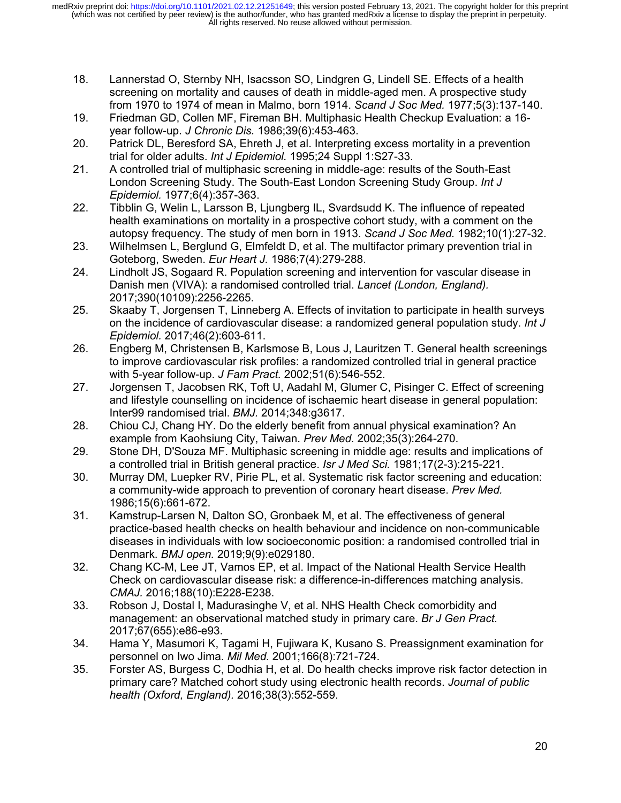- 18. Lannerstad O, Sternby NH, Isacsson SO, Lindgren G, Lindell SE. Effects of a health screening on mortality and causes of death in middle-aged men. A prospective study from 1970 to 1974 of mean in Malmo, born 1914. *Scand J Soc Med.* 1977;5(3):137-140.
- 19. Friedman GD, Collen MF, Fireman BH. Multiphasic Health Checkup Evaluation: a 16 year follow-up. *J Chronic Dis.* 1986;39(6):453-463.
- 20. Patrick DL, Beresford SA, Ehreth J, et al. Interpreting excess mortality in a prevention trial for older adults. *Int J Epidemiol.* 1995;24 Suppl 1:S27-33.
- 21. A controlled trial of multiphasic screening in middle-age: results of the South-East London Screening Study. The South-East London Screening Study Group. *Int J Epidemiol.* 1977;6(4):357-363.
- 22. Tibblin G, Welin L, Larsson B, Ljungberg IL, Svardsudd K. The influence of repeated health examinations on mortality in a prospective cohort study, with a comment on the autopsy frequency. The study of men born in 1913. *Scand J Soc Med.* 1982;10(1):27-32.
- 23. Wilhelmsen L, Berglund G, Elmfeldt D, et al. The multifactor primary prevention trial in Goteborg, Sweden. *Eur Heart J.* 1986;7(4):279-288.
- 24. Lindholt JS, Sogaard R. Population screening and intervention for vascular disease in Danish men (VIVA): a randomised controlled trial. *Lancet (London, England).*  2017;390(10109):2256-2265.
- 25. Skaaby T, Jorgensen T, Linneberg A. Effects of invitation to participate in health surveys on the incidence of cardiovascular disease: a randomized general population study. *Int J Epidemiol.* 2017;46(2):603-611.
- 26. Engberg M, Christensen B, Karlsmose B, Lous J, Lauritzen T. General health screenings to improve cardiovascular risk profiles: a randomized controlled trial in general practice with 5-year follow-up. *J Fam Pract.* 2002;51(6):546-552.
- 27. Jorgensen T, Jacobsen RK, Toft U, Aadahl M, Glumer C, Pisinger C. Effect of screening and lifestyle counselling on incidence of ischaemic heart disease in general population: Inter99 randomised trial. *BMJ.* 2014;348:g3617.
- 28. Chiou CJ, Chang HY. Do the elderly benefit from annual physical examination? An example from Kaohsiung City, Taiwan. *Prev Med.* 2002;35(3):264-270.
- 29. Stone DH, D'Souza MF. Multiphasic screening in middle age: results and implications of a controlled trial in British general practice. *Isr J Med Sci.* 1981;17(2-3):215-221.
- 30. Murray DM, Luepker RV, Pirie PL, et al. Systematic risk factor screening and education: a community-wide approach to prevention of coronary heart disease. *Prev Med.*  1986;15(6):661-672.
- 31. Kamstrup-Larsen N, Dalton SO, Gronbaek M, et al. The effectiveness of general practice-based health checks on health behaviour and incidence on non-communicable diseases in individuals with low socioeconomic position: a randomised controlled trial in Denmark. *BMJ open.* 2019;9(9):e029180.
- 32. Chang KC-M, Lee JT, Vamos EP, et al. Impact of the National Health Service Health Check on cardiovascular disease risk: a difference-in-differences matching analysis. *CMAJ.* 2016;188(10):E228-E238.
- 33. Robson J, Dostal I, Madurasinghe V, et al. NHS Health Check comorbidity and management: an observational matched study in primary care. *Br J Gen Pract.*  2017;67(655):e86-e93.
- 34. Hama Y, Masumori K, Tagami H, Fujiwara K, Kusano S. Preassignment examination for personnel on Iwo Jima. *Mil Med.* 2001;166(8):721-724.
- 35. Forster AS, Burgess C, Dodhia H, et al. Do health checks improve risk factor detection in primary care? Matched cohort study using electronic health records. *Journal of public health (Oxford, England).* 2016;38(3):552-559.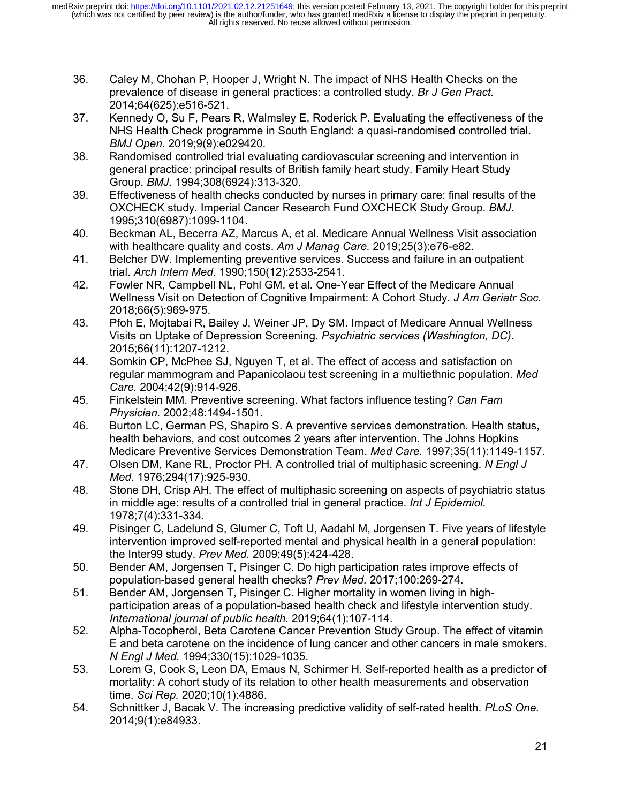- 36. Caley M, Chohan P, Hooper J, Wright N. The impact of NHS Health Checks on the prevalence of disease in general practices: a controlled study. *Br J Gen Pract.*  2014;64(625):e516-521.
- 37. Kennedy O, Su F, Pears R, Walmsley E, Roderick P. Evaluating the effectiveness of the NHS Health Check programme in South England: a quasi-randomised controlled trial. *BMJ Open.* 2019;9(9):e029420.
- 38. Randomised controlled trial evaluating cardiovascular screening and intervention in general practice: principal results of British family heart study. Family Heart Study Group. *BMJ.* 1994;308(6924):313-320.
- 39. Effectiveness of health checks conducted by nurses in primary care: final results of the OXCHECK study. Imperial Cancer Research Fund OXCHECK Study Group. *BMJ.*  1995;310(6987):1099-1104.
- 40. Beckman AL, Becerra AZ, Marcus A, et al. Medicare Annual Wellness Visit association with healthcare quality and costs. *Am J Manag Care.* 2019;25(3):e76-e82.
- 41. Belcher DW. Implementing preventive services. Success and failure in an outpatient trial. *Arch Intern Med.* 1990;150(12):2533-2541.
- 42. Fowler NR, Campbell NL, Pohl GM, et al. One-Year Effect of the Medicare Annual Wellness Visit on Detection of Cognitive Impairment: A Cohort Study. *J Am Geriatr Soc.*  2018;66(5):969-975.
- 43. Pfoh E, Mojtabai R, Bailey J, Weiner JP, Dy SM. Impact of Medicare Annual Wellness Visits on Uptake of Depression Screening. *Psychiatric services (Washington, DC).*  2015;66(11):1207-1212.
- 44. Somkin CP, McPhee SJ, Nguyen T, et al. The effect of access and satisfaction on regular mammogram and Papanicolaou test screening in a multiethnic population. *Med Care.* 2004;42(9):914-926.
- 45. Finkelstein MM. Preventive screening. What factors influence testing? *Can Fam Physician.* 2002;48:1494-1501.
- 46. Burton LC, German PS, Shapiro S. A preventive services demonstration. Health status, health behaviors, and cost outcomes 2 years after intervention. The Johns Hopkins Medicare Preventive Services Demonstration Team. *Med Care.* 1997;35(11):1149-1157.
- 47. Olsen DM, Kane RL, Proctor PH. A controlled trial of multiphasic screening. *N Engl J Med.* 1976;294(17):925-930.
- 48. Stone DH, Crisp AH. The effect of multiphasic screening on aspects of psychiatric status in middle age: results of a controlled trial in general practice. *Int J Epidemiol.*  1978;7(4):331-334.
- 49. Pisinger C, Ladelund S, Glumer C, Toft U, Aadahl M, Jorgensen T. Five years of lifestyle intervention improved self-reported mental and physical health in a general population: the Inter99 study. *Prev Med.* 2009;49(5):424-428.
- 50. Bender AM, Jorgensen T, Pisinger C. Do high participation rates improve effects of population-based general health checks? *Prev Med.* 2017;100:269-274.
- 51. Bender AM, Jorgensen T, Pisinger C. Higher mortality in women living in highparticipation areas of a population-based health check and lifestyle intervention study. *International journal of public health.* 2019;64(1):107-114.
- 52. Alpha-Tocopherol, Beta Carotene Cancer Prevention Study Group. The effect of vitamin E and beta carotene on the incidence of lung cancer and other cancers in male smokers. *N Engl J Med.* 1994;330(15):1029-1035.
- 53. Lorem G, Cook S, Leon DA, Emaus N, Schirmer H. Self-reported health as a predictor of mortality: A cohort study of its relation to other health measurements and observation time. *Sci Rep.* 2020;10(1):4886.
- 54. Schnittker J, Bacak V. The increasing predictive validity of self-rated health. *PLoS One.*  2014;9(1):e84933.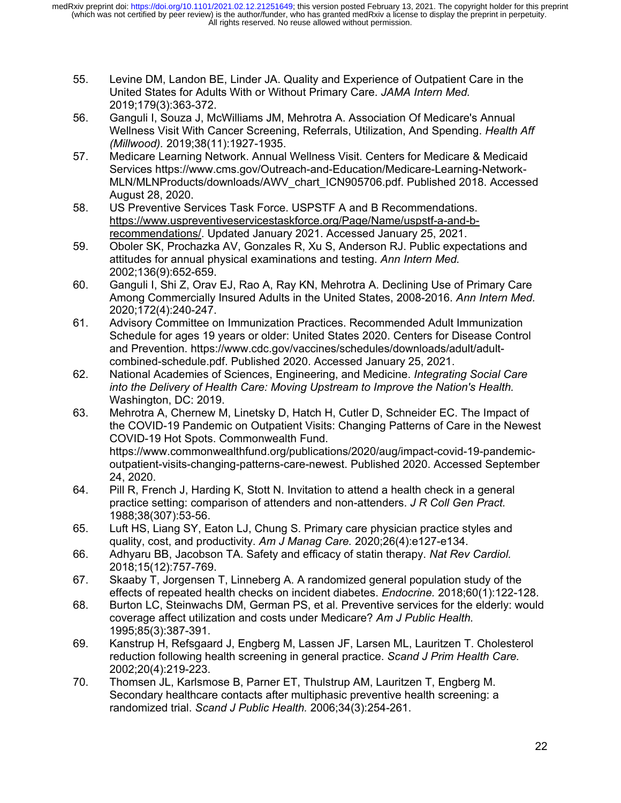- 55. Levine DM, Landon BE, Linder JA. Quality and Experience of Outpatient Care in the United States for Adults With or Without Primary Care. *JAMA Intern Med.*  2019;179(3):363-372.
- 56. Ganguli I, Souza J, McWilliams JM, Mehrotra A. Association Of Medicare's Annual Wellness Visit With Cancer Screening, Referrals, Utilization, And Spending. *Health Aff (Millwood).* 2019;38(11):1927-1935.
- 57. Medicare Learning Network. Annual Wellness Visit. Centers for Medicare & Medicaid Services https://www.cms.gov/Outreach-and-Education/Medicare-Learning-Network-MLN/MLNProducts/downloads/AWV\_chart\_ICN905706.pdf. Published 2018. Accessed August 28, 2020.
- 58. US Preventive Services Task Force. USPSTF A and B Recommendations. https://www.uspreventiveservicestaskforce.org/Page/Name/uspstf-a-and-brecommendations/. Updated January 2021. Accessed January 25, 2021.
- 59. Oboler SK, Prochazka AV, Gonzales R, Xu S, Anderson RJ. Public expectations and attitudes for annual physical examinations and testing. *Ann Intern Med.*  2002;136(9):652-659.
- 60. Ganguli I, Shi Z, Orav EJ, Rao A, Ray KN, Mehrotra A. Declining Use of Primary Care Among Commercially Insured Adults in the United States, 2008-2016. *Ann Intern Med.*  2020;172(4):240-247.
- 61. Advisory Committee on Immunization Practices. Recommended Adult Immunization Schedule for ages 19 years or older: United States 2020. Centers for Disease Control and Prevention. https://www.cdc.gov/vaccines/schedules/downloads/adult/adultcombined-schedule.pdf. Published 2020. Accessed January 25, 2021.
- 62. National Academies of Sciences, Engineering, and Medicine. *Integrating Social Care into the Delivery of Health Care: Moving Upstream to Improve the Nation's Health.*  Washington, DC: 2019.
- 63. Mehrotra A, Chernew M, Linetsky D, Hatch H, Cutler D, Schneider EC. The Impact of the COVID-19 Pandemic on Outpatient Visits: Changing Patterns of Care in the Newest COVID-19 Hot Spots. Commonwealth Fund. https://www.commonwealthfund.org/publications/2020/aug/impact-covid-19-pandemicoutpatient-visits-changing-patterns-care-newest. Published 2020. Accessed September 24, 2020.
- 64. Pill R, French J, Harding K, Stott N. Invitation to attend a health check in a general practice setting: comparison of attenders and non-attenders. *J R Coll Gen Pract.*  1988;38(307):53-56.
- 65. Luft HS, Liang SY, Eaton LJ, Chung S. Primary care physician practice styles and quality, cost, and productivity. *Am J Manag Care.* 2020;26(4):e127-e134.
- 66. Adhyaru BB, Jacobson TA. Safety and efficacy of statin therapy. *Nat Rev Cardiol.*  2018;15(12):757-769.
- 67. Skaaby T, Jorgensen T, Linneberg A. A randomized general population study of the effects of repeated health checks on incident diabetes. *Endocrine.* 2018;60(1):122-128.
- 68. Burton LC, Steinwachs DM, German PS, et al. Preventive services for the elderly: would coverage affect utilization and costs under Medicare? *Am J Public Health.*  1995;85(3):387-391.
- 69. Kanstrup H, Refsgaard J, Engberg M, Lassen JF, Larsen ML, Lauritzen T. Cholesterol reduction following health screening in general practice. *Scand J Prim Health Care.*  2002;20(4):219-223.
- 70. Thomsen JL, Karlsmose B, Parner ET, Thulstrup AM, Lauritzen T, Engberg M. Secondary healthcare contacts after multiphasic preventive health screening: a randomized trial. *Scand J Public Health.* 2006;34(3):254-261.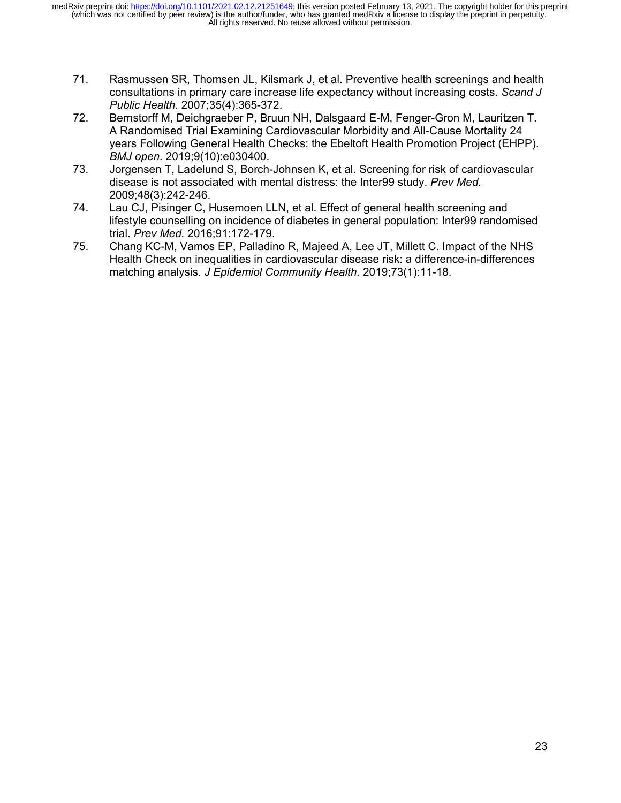- 71. Rasmussen SR, Thomsen JL, Kilsmark J, et al. Preventive health screenings and health consultations in primary care increase life expectancy without increasing costs. *Scand J Public Health.* 2007;35(4):365-372.
- 72. Bernstorff M, Deichgraeber P, Bruun NH, Dalsgaard E-M, Fenger-Gron M, Lauritzen T. A Randomised Trial Examining Cardiovascular Morbidity and All-Cause Mortality 24 years Following General Health Checks: the Ebeltoft Health Promotion Project (EHPP). *BMJ open.* 2019;9(10):e030400.
- 73. Jorgensen T, Ladelund S, Borch-Johnsen K, et al. Screening for risk of cardiovascular disease is not associated with mental distress: the Inter99 study. *Prev Med.*  2009;48(3):242-246.
- 74. Lau CJ, Pisinger C, Husemoen LLN, et al. Effect of general health screening and lifestyle counselling on incidence of diabetes in general population: Inter99 randomised trial. *Prev Med.* 2016;91:172-179.
- 75. Chang KC-M, Vamos EP, Palladino R, Majeed A, Lee JT, Millett C. Impact of the NHS Health Check on inequalities in cardiovascular disease risk: a difference-in-differences matching analysis. *J Epidemiol Community Health.* 2019;73(1):11-18.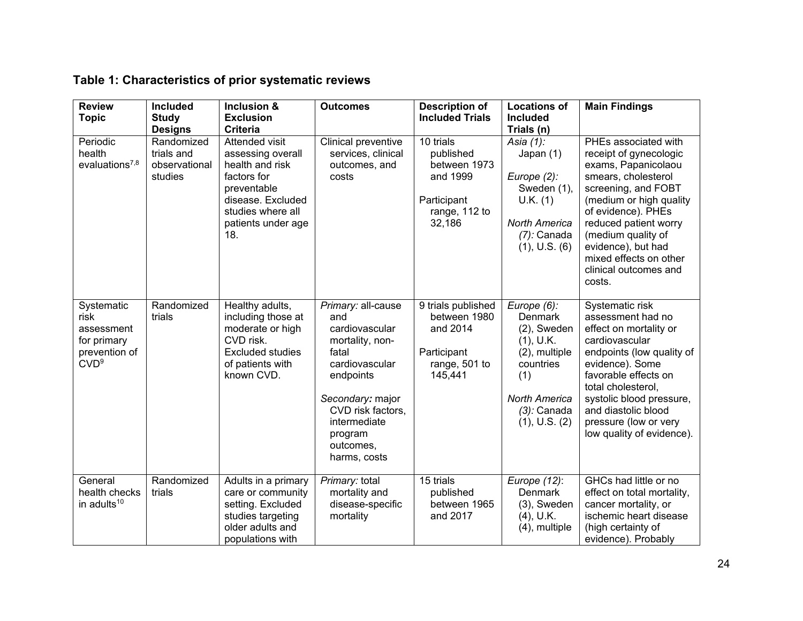| <b>Review</b><br><b>Topic</b>                                                        | <b>Included</b><br><b>Study</b><br><b>Designs</b>    | Inclusion &<br><b>Exclusion</b><br><b>Criteria</b>                                                                                                          | <b>Outcomes</b>                                                                                                                                                                                         | <b>Description of</b><br><b>Included Trials</b>                                              | <b>Locations of</b><br><b>Included</b><br>Trials (n)                                                                                                  | <b>Main Findings</b>                                                                                                                                                                                                                                                                                   |
|--------------------------------------------------------------------------------------|------------------------------------------------------|-------------------------------------------------------------------------------------------------------------------------------------------------------------|---------------------------------------------------------------------------------------------------------------------------------------------------------------------------------------------------------|----------------------------------------------------------------------------------------------|-------------------------------------------------------------------------------------------------------------------------------------------------------|--------------------------------------------------------------------------------------------------------------------------------------------------------------------------------------------------------------------------------------------------------------------------------------------------------|
| Periodic<br>health<br>evaluations <sup>7,8</sup>                                     | Randomized<br>trials and<br>observational<br>studies | Attended visit<br>assessing overall<br>health and risk<br>factors for<br>preventable<br>disease. Excluded<br>studies where all<br>patients under age<br>18. | Clinical preventive<br>services, clinical<br>outcomes, and<br>costs                                                                                                                                     | 10 trials<br>published<br>between 1973<br>and 1999<br>Participant<br>range, 112 to<br>32,186 | Asia (1):<br>Japan (1)<br>Europe $(2)$ :<br>Sweden (1),<br>U.K. (1)<br><b>North America</b><br>$(7)$ : Canada<br>$(1)$ , U.S. $(6)$                   | PHEs associated with<br>receipt of gynecologic<br>exams, Papanicolaou<br>smears, cholesterol<br>screening, and FOBT<br>(medium or high quality<br>of evidence). PHEs<br>reduced patient worry<br>(medium quality of<br>evidence), but had<br>mixed effects on other<br>clinical outcomes and<br>costs. |
| Systematic<br>risk<br>assessment<br>for primary<br>prevention of<br>CVD <sup>9</sup> | Randomized<br>trials                                 | Healthy adults,<br>including those at<br>moderate or high<br>CVD risk.<br>Excluded studies<br>of patients with<br>known CVD.                                | Primary: all-cause<br>and<br>cardiovascular<br>mortality, non-<br>fatal<br>cardiovascular<br>endpoints<br>Secondary: major<br>CVD risk factors,<br>intermediate<br>program<br>outcomes,<br>harms, costs | 9 trials published<br>between 1980<br>and 2014<br>Participant<br>range, 501 to<br>145,441    | Europe (6):<br>Denmark<br>$(2)$ , Sweden<br>(1), U.K.<br>(2), multiple<br>countries<br>(1)<br><b>North America</b><br>$(3)$ : Canada<br>(1), U.S. (2) | Systematic risk<br>assessment had no<br>effect on mortality or<br>cardiovascular<br>endpoints (low quality of<br>evidence). Some<br>favorable effects on<br>total cholesterol,<br>systolic blood pressure,<br>and diastolic blood<br>pressure (low or very<br>low quality of evidence).                |
| General<br>health checks<br>in adults <sup>10</sup>                                  | Randomized<br>trials                                 | Adults in a primary<br>care or community<br>setting. Excluded<br>studies targeting<br>older adults and<br>populations with                                  | Primary: total<br>mortality and<br>disease-specific<br>mortality                                                                                                                                        | 15 trials<br>published<br>between 1965<br>and 2017                                           | Europe (12):<br><b>Denmark</b><br>$(3)$ , Sweden<br>$(4)$ , U.K.<br>$(4)$ , multiple                                                                  | GHCs had little or no<br>effect on total mortality,<br>cancer mortality, or<br>ischemic heart disease<br>(high certainty of<br>evidence). Probably                                                                                                                                                     |

# **Table 1: Characteristics of prior systematic reviews**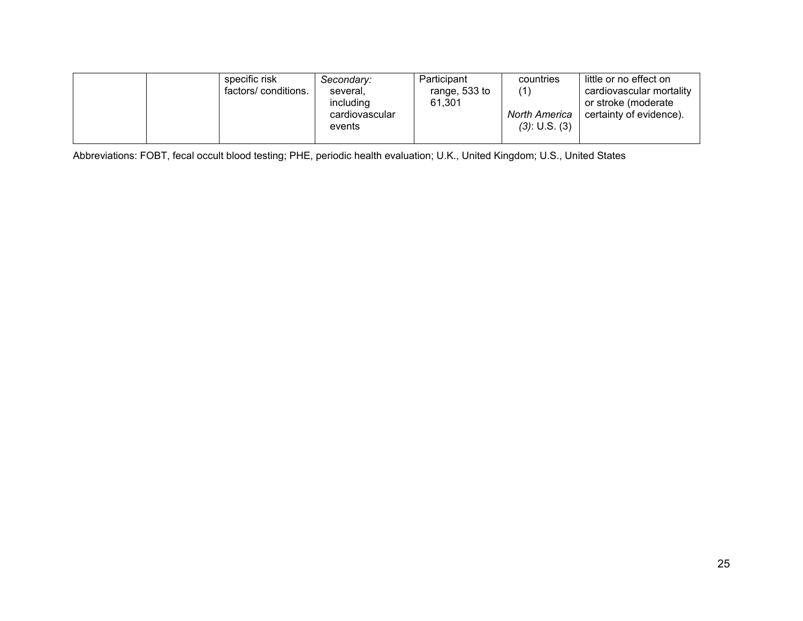| factors/ conditions.<br>several.<br>including<br>cardiovascular<br>events | range, 533 to<br>61.301 | North America<br>$(3)$ : U.S. $(3)$ | cardiovascular mortality<br>or stroke (moderate<br>certainty of evidence). |
|---------------------------------------------------------------------------|-------------------------|-------------------------------------|----------------------------------------------------------------------------|
|---------------------------------------------------------------------------|-------------------------|-------------------------------------|----------------------------------------------------------------------------|

Abbreviations: FOBT, fecal occult blood testing; PHE, periodic health evaluation; U.K., United Kingdom; U.S., United States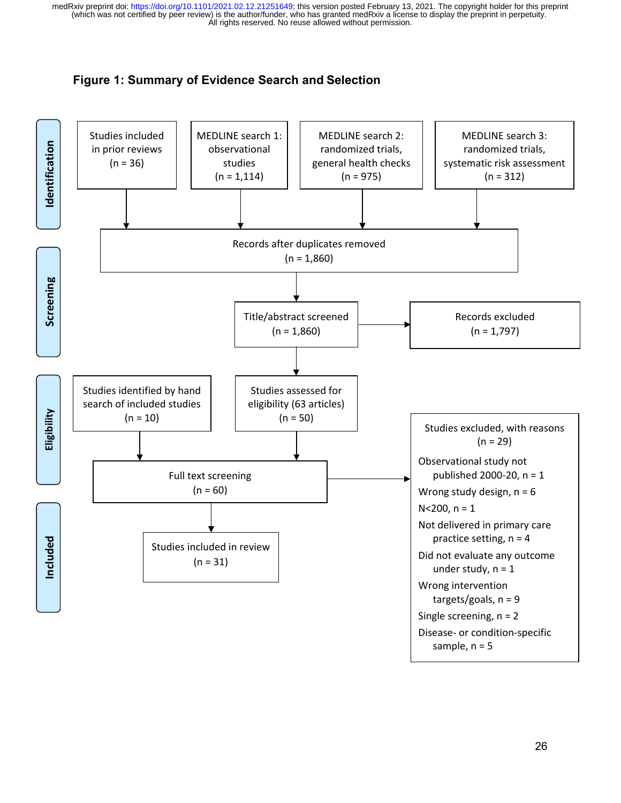# **Figure 1: Summary of Evidence Search and Selection**

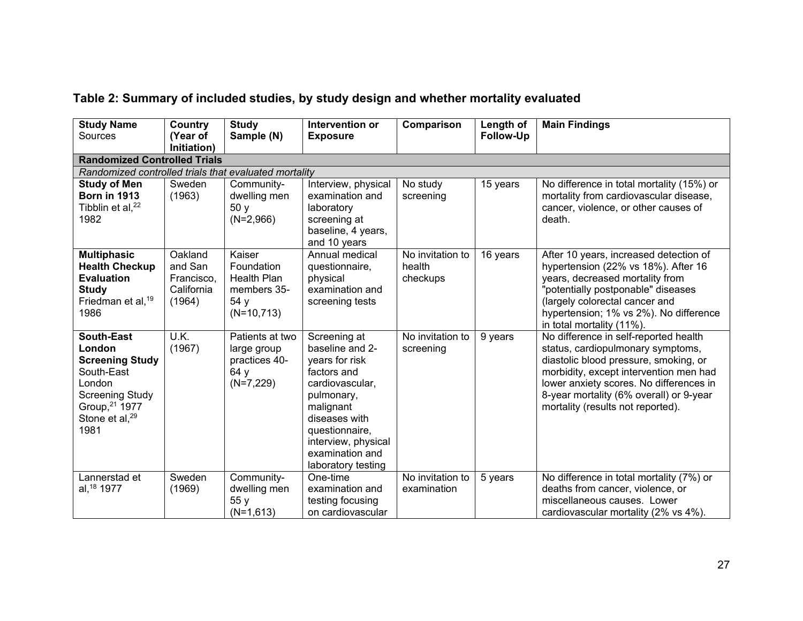| <b>Study Name</b><br>Sources                                                                                                                                    | Country<br>(Year of<br>Initiation)                       | <b>Study</b><br>Sample (N)                                                 | Intervention or<br><b>Exposure</b>                                                                                                                                                                                | Comparison                             | Length of<br>Follow-Up | <b>Main Findings</b>                                                                                                                                                                                                                                                                     |  |  |
|-----------------------------------------------------------------------------------------------------------------------------------------------------------------|----------------------------------------------------------|----------------------------------------------------------------------------|-------------------------------------------------------------------------------------------------------------------------------------------------------------------------------------------------------------------|----------------------------------------|------------------------|------------------------------------------------------------------------------------------------------------------------------------------------------------------------------------------------------------------------------------------------------------------------------------------|--|--|
| <b>Randomized Controlled Trials</b>                                                                                                                             |                                                          |                                                                            |                                                                                                                                                                                                                   |                                        |                        |                                                                                                                                                                                                                                                                                          |  |  |
| Randomized controlled trials that evaluated mortality                                                                                                           |                                                          |                                                                            |                                                                                                                                                                                                                   |                                        |                        |                                                                                                                                                                                                                                                                                          |  |  |
| <b>Study of Men</b><br><b>Born in 1913</b><br>Tibblin et al, <sup>22</sup><br>1982                                                                              | Sweden<br>(1963)                                         | Community-<br>dwelling men<br>50y<br>$(N=2,966)$                           | Interview, physical<br>examination and<br>laboratory<br>screening at<br>baseline, 4 years,<br>and 10 years                                                                                                        | No study<br>screening                  | 15 years               | No difference in total mortality (15%) or<br>mortality from cardiovascular disease,<br>cancer, violence, or other causes of<br>death.                                                                                                                                                    |  |  |
| <b>Multiphasic</b><br><b>Health Checkup</b><br><b>Evaluation</b><br><b>Study</b><br>Friedman et al, 19<br>1986                                                  | Oakland<br>and San<br>Francisco,<br>California<br>(1964) | Kaiser<br>Foundation<br>Health Plan<br>members 35-<br>54 y<br>$(N=10,713)$ | Annual medical<br>questionnaire,<br>physical<br>examination and<br>screening tests                                                                                                                                | No invitation to<br>health<br>checkups | 16 years               | After 10 years, increased detection of<br>hypertension (22% vs 18%). After 16<br>years, decreased mortality from<br>"potentially postponable" diseases<br>(largely colorectal cancer and<br>hypertension; 1% vs 2%). No difference<br>in total mortality (11%).                          |  |  |
| <b>South-East</b><br>London<br><b>Screening Study</b><br>South-East<br>London<br><b>Screening Study</b><br>Group, 21 1977<br>Stone et al, <sup>29</sup><br>1981 | U.K.<br>(1967)                                           | Patients at two<br>large group<br>practices 40-<br>64 y<br>$(N=7,229)$     | Screening at<br>baseline and 2-<br>years for risk<br>factors and<br>cardiovascular,<br>pulmonary,<br>malignant<br>diseases with<br>questionnaire,<br>interview, physical<br>examination and<br>laboratory testing | No invitation to<br>screening          | 9 years                | No difference in self-reported health<br>status, cardiopulmonary symptoms,<br>diastolic blood pressure, smoking, or<br>morbidity, except intervention men had<br>lower anxiety scores. No differences in<br>8-year mortality (6% overall) or 9-year<br>mortality (results not reported). |  |  |
| Lannerstad et<br>al, 18 1977                                                                                                                                    | Sweden<br>(1969)                                         | Community-<br>dwelling men<br>55 y<br>$(N=1,613)$                          | One-time<br>examination and<br>testing focusing<br>on cardiovascular                                                                                                                                              | No invitation to<br>examination        | 5 years                | No difference in total mortality (7%) or<br>deaths from cancer, violence, or<br>miscellaneous causes. Lower<br>cardiovascular mortality (2% vs 4%).                                                                                                                                      |  |  |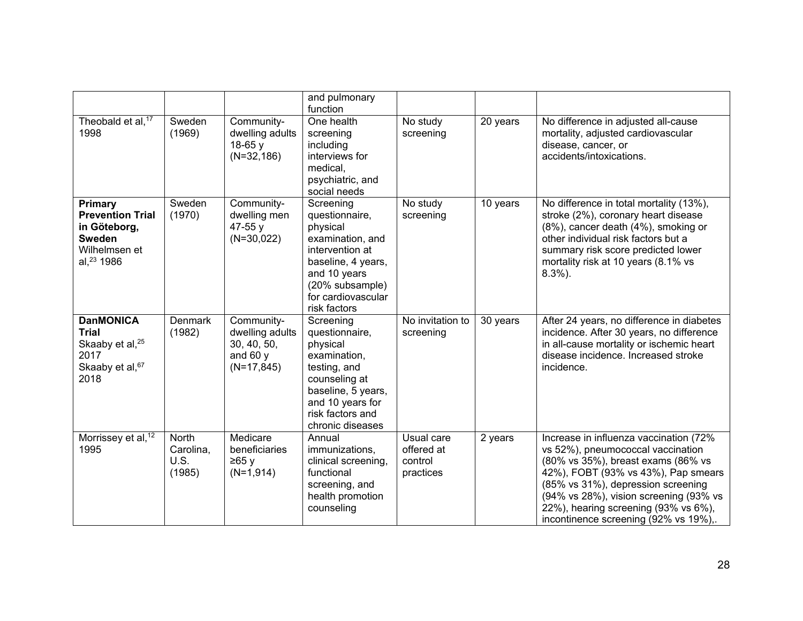|                                                                                                     |                                             |                                                                             | and pulmonary<br>function                                                                                                                                                     |                                                  |          |                                                                                                                                                                                                                                                                                                                           |
|-----------------------------------------------------------------------------------------------------|---------------------------------------------|-----------------------------------------------------------------------------|-------------------------------------------------------------------------------------------------------------------------------------------------------------------------------|--------------------------------------------------|----------|---------------------------------------------------------------------------------------------------------------------------------------------------------------------------------------------------------------------------------------------------------------------------------------------------------------------------|
| Theobald et al, <sup>17</sup><br>1998                                                               | Sweden<br>(1969)                            | Community-<br>dwelling adults<br>$18-65y$<br>$(N=32, 186)$                  | One health<br>screening<br>including<br>interviews for<br>medical,<br>psychiatric, and<br>social needs                                                                        | No study<br>screening                            | 20 years | No difference in adjusted all-cause<br>mortality, adjusted cardiovascular<br>disease, cancer, or<br>accidents/intoxications.                                                                                                                                                                                              |
| Primary<br><b>Prevention Trial</b><br>in Göteborg,<br>Sweden<br>Wilhelmsen et<br>al, $^{23}$ 1986   | Sweden<br>(1970)                            | Community-<br>dwelling men<br>47-55 y<br>$(N=30,022)$                       | Screening<br>questionnaire,<br>physical<br>examination, and<br>intervention at<br>baseline, 4 years,<br>and 10 years<br>(20% subsample)<br>for cardiovascular<br>risk factors | No study<br>screening                            | 10 years | No difference in total mortality (13%),<br>stroke (2%), coronary heart disease<br>(8%), cancer death (4%), smoking or<br>other individual risk factors but a<br>summary risk score predicted lower<br>mortality risk at 10 years (8.1% vs<br>$8.3\%$ ).                                                                   |
| <b>DanMONICA</b><br><b>Trial</b><br>Skaaby et al, <sup>25</sup><br>2017<br>Skaaby et al, 67<br>2018 | Denmark<br>(1982)                           | Community-<br>dwelling adults<br>30, 40, 50,<br>and 60 $y$<br>$(N=17, 845)$ | Screening<br>questionnaire,<br>physical<br>examination,<br>testing, and<br>counseling at<br>baseline, 5 years,<br>and 10 years for<br>risk factors and<br>chronic diseases    | No invitation to<br>screening                    | 30 years | After 24 years, no difference in diabetes<br>incidence. After 30 years, no difference<br>in all-cause mortality or ischemic heart<br>disease incidence. Increased stroke<br>incidence.                                                                                                                                    |
| Morrissey et al, <sup>12</sup><br>1995                                                              | <b>North</b><br>Carolina,<br>U.S.<br>(1985) | Medicare<br>beneficiaries<br>≥65y<br>$(N=1,914)$                            | Annual<br>immunizations,<br>clinical screening,<br>functional<br>screening, and<br>health promotion<br>counseling                                                             | Usual care<br>offered at<br>control<br>practices | 2 years  | Increase in influenza vaccination (72%<br>vs 52%), pneumococcal vaccination<br>(80% vs 35%), breast exams (86% vs<br>42%), FOBT (93% vs 43%), Pap smears<br>(85% vs 31%), depression screening<br>(94% vs 28%), vision screening (93% vs<br>22%), hearing screening (93% vs 6%),<br>incontinence screening (92% vs 19%),. |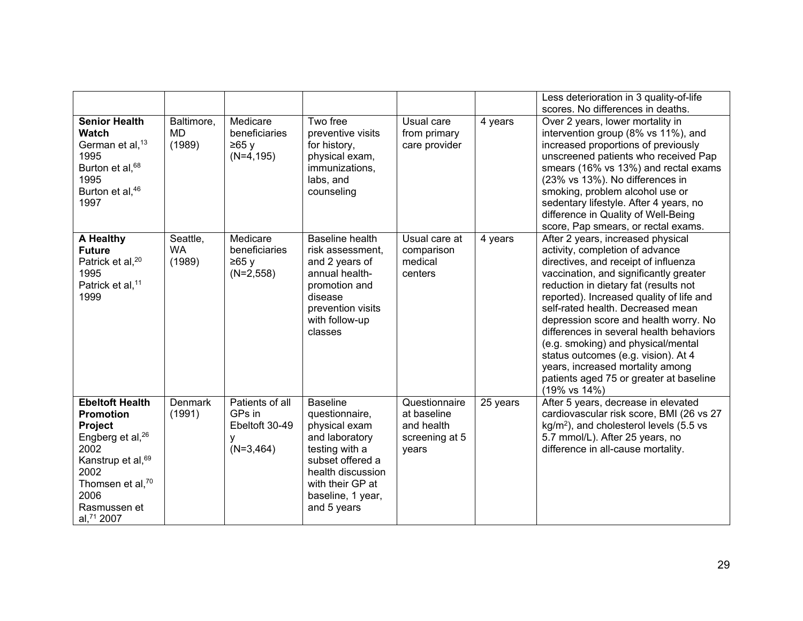|                                                                                                                                                                                                               |                                 |                                                                 |                                                                                                                                                                                         |                                                                       |          | Less deterioration in 3 quality-of-life                                                                                                                                                                                                                                                                                                                                                                                                                                                                                                          |
|---------------------------------------------------------------------------------------------------------------------------------------------------------------------------------------------------------------|---------------------------------|-----------------------------------------------------------------|-----------------------------------------------------------------------------------------------------------------------------------------------------------------------------------------|-----------------------------------------------------------------------|----------|--------------------------------------------------------------------------------------------------------------------------------------------------------------------------------------------------------------------------------------------------------------------------------------------------------------------------------------------------------------------------------------------------------------------------------------------------------------------------------------------------------------------------------------------------|
| <b>Senior Health</b><br>Watch<br>German et al, <sup>13</sup><br>1995<br>Burton et al, <sup>68</sup><br>1995<br>Burton et al, 46<br>1997                                                                       | Baltimore,<br>MD<br>(1989)      | Medicare<br>beneficiaries<br>≥65y<br>$(N=4, 195)$               | Two free<br>preventive visits<br>for history,<br>physical exam,<br>immunizations,<br>labs, and<br>counseling                                                                            | Usual care<br>from primary<br>care provider                           | 4 years  | scores. No differences in deaths.<br>Over 2 years, lower mortality in<br>intervention group (8% vs 11%), and<br>increased proportions of previously<br>unscreened patients who received Pap<br>smears (16% vs 13%) and rectal exams<br>(23% vs 13%). No differences in<br>smoking, problem alcohol use or<br>sedentary lifestyle. After 4 years, no<br>difference in Quality of Well-Being<br>score, Pap smears, or rectal exams.                                                                                                                |
| A Healthy<br><b>Future</b><br>Patrick et al, <sup>20</sup><br>1995<br>Patrick et al, <sup>11</sup><br>1999                                                                                                    | Seattle,<br><b>WA</b><br>(1989) | Medicare<br>beneficiaries<br>≥65y<br>$(N=2,558)$                | <b>Baseline health</b><br>risk assessment,<br>and 2 years of<br>annual health-<br>promotion and<br>disease<br>prevention visits<br>with follow-up<br>classes                            | Usual care at<br>comparison<br>medical<br>centers                     | 4 years  | After 2 years, increased physical<br>activity, completion of advance<br>directives, and receipt of influenza<br>vaccination, and significantly greater<br>reduction in dietary fat (results not<br>reported). Increased quality of life and<br>self-rated health. Decreased mean<br>depression score and health worry. No<br>differences in several health behaviors<br>(e.g. smoking) and physical/mental<br>status outcomes (e.g. vision). At 4<br>years, increased mortality among<br>patients aged 75 or greater at baseline<br>(19% vs 14%) |
| <b>Ebeltoft Health</b><br><b>Promotion</b><br>Project<br>Engberg et al, <sup>26</sup><br>2002<br>Kanstrup et al, <sup>69</sup><br>2002<br>Thomsen et al, <sup>70</sup><br>2006<br>Rasmussen et<br>al, 71 2007 | <b>Denmark</b><br>(1991)        | Patients of all<br>GPs in<br>Ebeltoft 30-49<br>у<br>$(N=3,464)$ | <b>Baseline</b><br>questionnaire,<br>physical exam<br>and laboratory<br>testing with a<br>subset offered a<br>health discussion<br>with their GP at<br>baseline, 1 year,<br>and 5 years | Questionnaire<br>at baseline<br>and health<br>screening at 5<br>years | 25 years | After 5 years, decrease in elevated<br>cardiovascular risk score, BMI (26 vs 27<br>$kg/m2$ ), and cholesterol levels (5.5 vs<br>5.7 mmol/L). After 25 years, no<br>difference in all-cause mortality.                                                                                                                                                                                                                                                                                                                                            |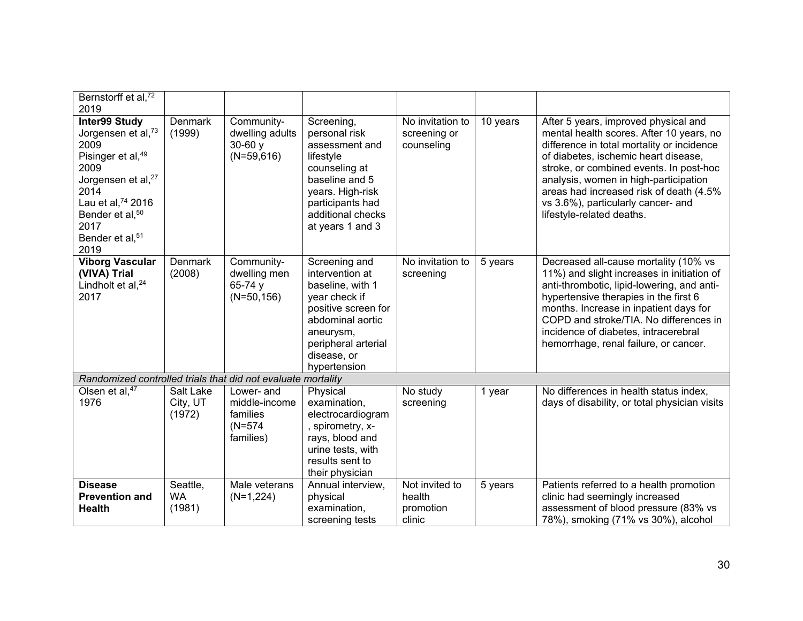| Bernstorff et al, <sup>72</sup><br>2019                                                                                                                                                                                                               |                                 |                                                                   |                                                                                                                                                                                     |                                                 |          |                                                                                                                                                                                                                                                                                                                                                                          |
|-------------------------------------------------------------------------------------------------------------------------------------------------------------------------------------------------------------------------------------------------------|---------------------------------|-------------------------------------------------------------------|-------------------------------------------------------------------------------------------------------------------------------------------------------------------------------------|-------------------------------------------------|----------|--------------------------------------------------------------------------------------------------------------------------------------------------------------------------------------------------------------------------------------------------------------------------------------------------------------------------------------------------------------------------|
| <b>Inter99 Study</b><br>Jorgensen et al, <sup>73</sup><br>2009<br>Pisinger et al, <sup>49</sup><br>2009<br>Jorgensen et al, <sup>27</sup><br>2014<br>Lau et al, 74 2016<br>Bender et al, <sup>50</sup><br>2017<br>Bender et al, <sup>51</sup><br>2019 | <b>Denmark</b><br>(1999)        | Community-<br>dwelling adults<br>$30-60y$<br>$(N=59,616)$         | Screening,<br>personal risk<br>assessment and<br>lifestyle<br>counseling at<br>baseline and 5<br>years. High-risk<br>participants had<br>additional checks<br>at years 1 and 3      | No invitation to<br>screening or<br>counseling  | 10 years | After 5 years, improved physical and<br>mental health scores. After 10 years, no<br>difference in total mortality or incidence<br>of diabetes, ischemic heart disease,<br>stroke, or combined events. In post-hoc<br>analysis, women in high-participation<br>areas had increased risk of death (4.5%<br>vs 3.6%), particularly cancer- and<br>lifestyle-related deaths. |
| <b>Viborg Vascular</b><br>(VIVA) Trial<br>Lindholt et al, <sup>24</sup><br>2017                                                                                                                                                                       | <b>Denmark</b><br>(2008)        | Community-<br>dwelling men<br>65-74 y<br>$(N=50, 156)$            | Screening and<br>intervention at<br>baseline, with 1<br>year check if<br>positive screen for<br>abdominal aortic<br>aneurysm,<br>peripheral arterial<br>disease, or<br>hypertension | No invitation to<br>screening                   | 5 years  | Decreased all-cause mortality (10% vs<br>11%) and slight increases in initiation of<br>anti-thrombotic, lipid-lowering, and anti-<br>hypertensive therapies in the first 6<br>months. Increase in inpatient days for<br>COPD and stroke/TIA. No differences in<br>incidence of diabetes, intracerebral<br>hemorrhage, renal failure, or cancer.                          |
| Randomized controlled trials that did not evaluate mortality                                                                                                                                                                                          |                                 |                                                                   |                                                                                                                                                                                     |                                                 |          |                                                                                                                                                                                                                                                                                                                                                                          |
| Olsen et al, <sup>47</sup><br>1976                                                                                                                                                                                                                    | Salt Lake<br>City, UT<br>(1972) | Lower- and<br>middle-income<br>families<br>$(N=574)$<br>families) | Physical<br>examination,<br>electrocardiogram<br>, spirometry, x-<br>rays, blood and<br>urine tests, with<br>results sent to<br>their physician                                     | No study<br>screening                           | 1 year   | No differences in health status index,<br>days of disability, or total physician visits                                                                                                                                                                                                                                                                                  |
| <b>Disease</b><br><b>Prevention and</b><br><b>Health</b>                                                                                                                                                                                              | Seattle,<br><b>WA</b><br>(1981) | Male veterans<br>$(N=1,224)$                                      | Annual interview,<br>physical<br>examination,<br>screening tests                                                                                                                    | Not invited to<br>health<br>promotion<br>clinic | 5 years  | Patients referred to a health promotion<br>clinic had seemingly increased<br>assessment of blood pressure (83% vs<br>78%), smoking (71% vs 30%), alcohol                                                                                                                                                                                                                 |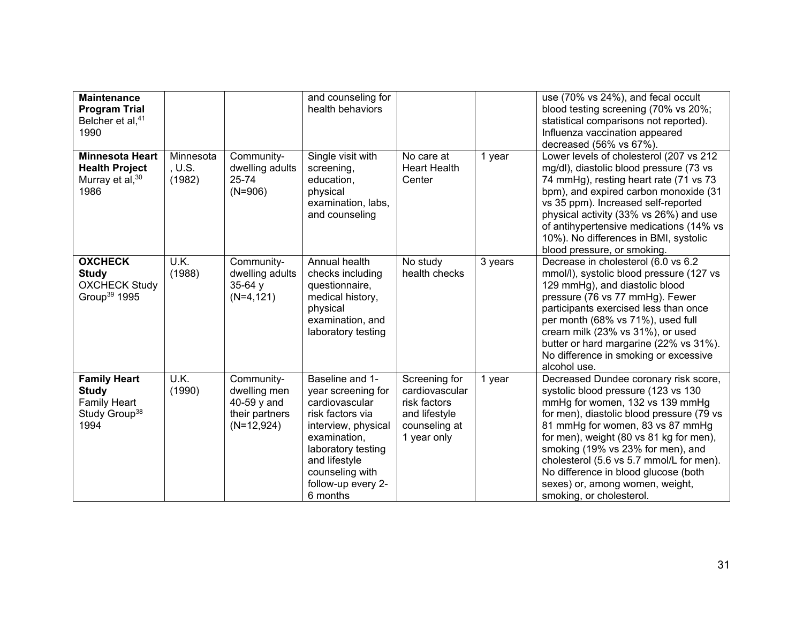| <b>Maintenance</b><br><b>Program Trial</b><br>Belcher et al, <sup>41</sup><br>1990              |                               |                                                                             | and counseling for<br>health behaviors                                                                                                                                                                         |                                                                                                  |         | use (70% vs 24%), and fecal occult<br>blood testing screening (70% vs 20%;<br>statistical comparisons not reported).<br>Influenza vaccination appeared<br>decreased (56% vs 67%).                                                                                                                                                                                                                                                   |
|-------------------------------------------------------------------------------------------------|-------------------------------|-----------------------------------------------------------------------------|----------------------------------------------------------------------------------------------------------------------------------------------------------------------------------------------------------------|--------------------------------------------------------------------------------------------------|---------|-------------------------------------------------------------------------------------------------------------------------------------------------------------------------------------------------------------------------------------------------------------------------------------------------------------------------------------------------------------------------------------------------------------------------------------|
| <b>Minnesota Heart</b><br><b>Health Project</b><br>Murray et al, 30<br>1986                     | Minnesota<br>, U.S.<br>(1982) | Community-<br>dwelling adults<br>25-74<br>$(N=906)$                         | Single visit with<br>screening,<br>education,<br>physical<br>examination, labs,<br>and counseling                                                                                                              | No care at<br><b>Heart Health</b><br>Center                                                      | 1 year  | Lower levels of cholesterol (207 vs 212<br>mg/dl), diastolic blood pressure (73 vs<br>74 mmHg), resting heart rate (71 vs 73<br>bpm), and expired carbon monoxide (31<br>vs 35 ppm). Increased self-reported<br>physical activity (33% vs 26%) and use<br>of antihypertensive medications (14% vs<br>10%). No differences in BMI, systolic<br>blood pressure, or smoking.                                                           |
| <b>OXCHECK</b><br><b>Study</b><br><b>OXCHECK Study</b><br>Group <sup>39</sup> 1995              | U.K.<br>(1988)                | Community-<br>dwelling adults<br>$35-64y$<br>$(N=4, 121)$                   | Annual health<br>checks including<br>questionnaire,<br>medical history,<br>physical<br>examination, and<br>laboratory testing                                                                                  | No study<br>health checks                                                                        | 3 years | Decrease in cholesterol (6.0 vs 6.2)<br>mmol/l), systolic blood pressure (127 vs<br>129 mmHg), and diastolic blood<br>pressure (76 vs 77 mmHg). Fewer<br>participants exercised less than once<br>per month (68% vs 71%), used full<br>cream milk (23% vs 31%), or used<br>butter or hard margarine (22% vs 31%).<br>No difference in smoking or excessive<br>alcohol use.                                                          |
| <b>Family Heart</b><br><b>Study</b><br><b>Family Heart</b><br>Study Group <sup>38</sup><br>1994 | U.K.<br>(1990)                | Community-<br>dwelling men<br>40-59 y and<br>their partners<br>$(N=12,924)$ | Baseline and 1-<br>year screening for<br>cardiovascular<br>risk factors via<br>interview, physical<br>examination,<br>laboratory testing<br>and lifestyle<br>counseling with<br>follow-up every 2-<br>6 months | Screening for<br>cardiovascular<br>risk factors<br>and lifestyle<br>counseling at<br>1 year only | 1 year  | Decreased Dundee coronary risk score,<br>systolic blood pressure (123 vs 130<br>mmHg for women, 132 vs 139 mmHg<br>for men), diastolic blood pressure (79 vs<br>81 mmHg for women, 83 vs 87 mmHg<br>for men), weight (80 vs 81 kg for men),<br>smoking (19% vs 23% for men), and<br>cholesterol (5.6 vs 5.7 mmol/L for men).<br>No difference in blood glucose (both<br>sexes) or, among women, weight,<br>smoking, or cholesterol. |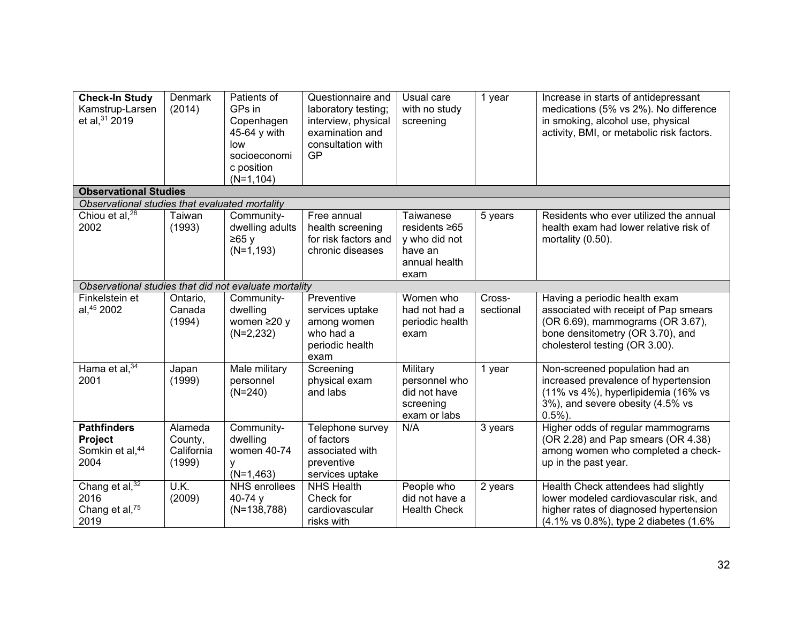| <b>Check-In Study</b><br>Kamstrup-Larsen<br>et al, 31 2019                     | <b>Denmark</b><br>(2014)                   | Patients of<br>GPs in<br>Copenhagen<br>45-64 y with<br>low<br>socioeconomi<br>c position<br>$(N=1, 104)$ | Questionnaire and<br>laboratory testing;<br>interview, physical<br>examination and<br>consultation with<br>GP | Usual care<br>with no study<br>screening                               | 1 year              | Increase in starts of antidepressant<br>medications (5% vs 2%). No difference<br>in smoking, alcohol use, physical<br>activity, BMI, or metabolic risk factors.                  |
|--------------------------------------------------------------------------------|--------------------------------------------|----------------------------------------------------------------------------------------------------------|---------------------------------------------------------------------------------------------------------------|------------------------------------------------------------------------|---------------------|----------------------------------------------------------------------------------------------------------------------------------------------------------------------------------|
| <b>Observational Studies</b><br>Observational studies that evaluated mortality |                                            |                                                                                                          |                                                                                                               |                                                                        |                     |                                                                                                                                                                                  |
| Chiou et al, <sup>28</sup>                                                     | Taiwan                                     | Community-                                                                                               | Free annual                                                                                                   | Taiwanese                                                              | 5 years             | Residents who ever utilized the annual                                                                                                                                           |
| 2002                                                                           | (1993)                                     | dwelling adults<br>≥65y<br>$(N=1, 193)$                                                                  | health screening<br>for risk factors and<br>chronic diseases                                                  | residents ≥65<br>y who did not<br>have an<br>annual health<br>exam     |                     | health exam had lower relative risk of<br>mortality (0.50).                                                                                                                      |
| Observational studies that did not evaluate mortality                          |                                            |                                                                                                          |                                                                                                               |                                                                        |                     |                                                                                                                                                                                  |
| Finkelstein et<br>al, 45 2002                                                  | Ontario,<br>Canada<br>(1994)               | Community-<br>dwelling<br>women $\geq$ 20 y<br>$(N=2,232)$                                               | Preventive<br>services uptake<br>among women<br>who had a<br>periodic health<br>exam                          | Women who<br>had not had a<br>periodic health<br>exam                  | Cross-<br>sectional | Having a periodic health exam<br>associated with receipt of Pap smears<br>(OR 6.69), mammograms (OR 3.67),<br>bone densitometry (OR 3.70), and<br>cholesterol testing (OR 3.00). |
| Hama et al, 34<br>2001                                                         | Japan<br>(1999)                            | Male military<br>personnel<br>$(N=240)$                                                                  | Screening<br>physical exam<br>and labs                                                                        | Military<br>personnel who<br>did not have<br>screening<br>exam or labs | 1 year              | Non-screened population had an<br>increased prevalence of hypertension<br>(11% vs 4%), hyperlipidemia (16% vs<br>3%), and severe obesity (4.5% vs<br>$0.5%$ ).                   |
| <b>Pathfinders</b><br>Project<br>Somkin et al, 44<br>2004                      | Alameda<br>County,<br>California<br>(1999) | Community-<br>dwelling<br>women 40-74<br>y<br>$(N=1,463)$                                                | Telephone survey<br>of factors<br>associated with<br>preventive<br>services uptake                            | N/A                                                                    | 3 years             | Higher odds of regular mammograms<br>(OR 2.28) and Pap smears (OR 4.38)<br>among women who completed a check-<br>up in the past year.                                            |
| Chang et al, <sup>32</sup><br>2016<br>Chang et al, <sup>75</sup><br>2019       | U.K.<br>(2009)                             | <b>NHS</b> enrollees<br>40-74 $y$<br>$(N=138,788)$                                                       | <b>NHS Health</b><br>Check for<br>cardiovascular<br>risks with                                                | People who<br>did not have a<br><b>Health Check</b>                    | 2 years             | Health Check attendees had slightly<br>lower modeled cardiovascular risk, and<br>higher rates of diagnosed hypertension<br>(4.1% vs 0.8%), type 2 diabetes (1.6%)                |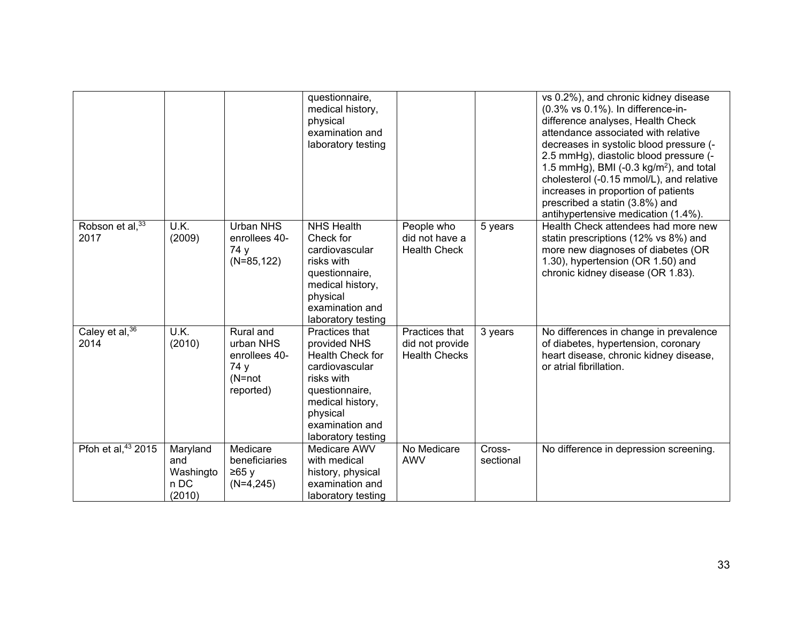|                                |                                                |                                                                          | questionnaire,<br>medical history,<br>physical<br>examination and<br>laboratory testing                                                                                              |                                                           |                     | vs 0.2%), and chronic kidney disease<br>(0.3% vs 0.1%). In difference-in-<br>difference analyses, Health Check<br>attendance associated with relative<br>decreases in systolic blood pressure (-<br>2.5 mmHg), diastolic blood pressure (-<br>1.5 mmHg), BMI (-0.3 kg/m <sup>2</sup> ), and total<br>cholesterol (-0.15 mmol/L), and relative<br>increases in proportion of patients<br>prescribed a statin (3.8%) and<br>antihypertensive medication (1.4%). |
|--------------------------------|------------------------------------------------|--------------------------------------------------------------------------|--------------------------------------------------------------------------------------------------------------------------------------------------------------------------------------|-----------------------------------------------------------|---------------------|---------------------------------------------------------------------------------------------------------------------------------------------------------------------------------------------------------------------------------------------------------------------------------------------------------------------------------------------------------------------------------------------------------------------------------------------------------------|
| Robson et al, 33<br>2017       | U.K.<br>(2009)                                 | <b>Urban NHS</b><br>enrollees 40-<br>74 y<br>$(N=85, 122)$               | <b>NHS Health</b><br>Check for<br>cardiovascular<br>risks with<br>questionnaire,<br>medical history,<br>physical<br>examination and<br>laboratory testing                            | People who<br>did not have a<br><b>Health Check</b>       | 5 years             | Health Check attendees had more new<br>statin prescriptions (12% vs 8%) and<br>more new diagnoses of diabetes (OR<br>1.30), hypertension (OR 1.50) and<br>chronic kidney disease (OR 1.83).                                                                                                                                                                                                                                                                   |
| Caley et al, 36<br>2014        | U.K.<br>(2010)                                 | Rural and<br>urban NHS<br>enrollees 40-<br>74 y<br>$(N=not$<br>reported) | Practices that<br>provided NHS<br><b>Health Check for</b><br>cardiovascular<br>risks with<br>questionnaire,<br>medical history,<br>physical<br>examination and<br>laboratory testing | Practices that<br>did not provide<br><b>Health Checks</b> | 3 years             | No differences in change in prevalence<br>of diabetes, hypertension, coronary<br>heart disease, chronic kidney disease,<br>or atrial fibrillation.                                                                                                                                                                                                                                                                                                            |
| Pfoh et al, <sup>43</sup> 2015 | Maryland<br>and<br>Washingto<br>n DC<br>(2010) | Medicare<br>beneficiaries<br>≥65y<br>$(N=4,245)$                         | Medicare AWV<br>with medical<br>history, physical<br>examination and<br>laboratory testing                                                                                           | No Medicare<br><b>AWV</b>                                 | Cross-<br>sectional | No difference in depression screening.                                                                                                                                                                                                                                                                                                                                                                                                                        |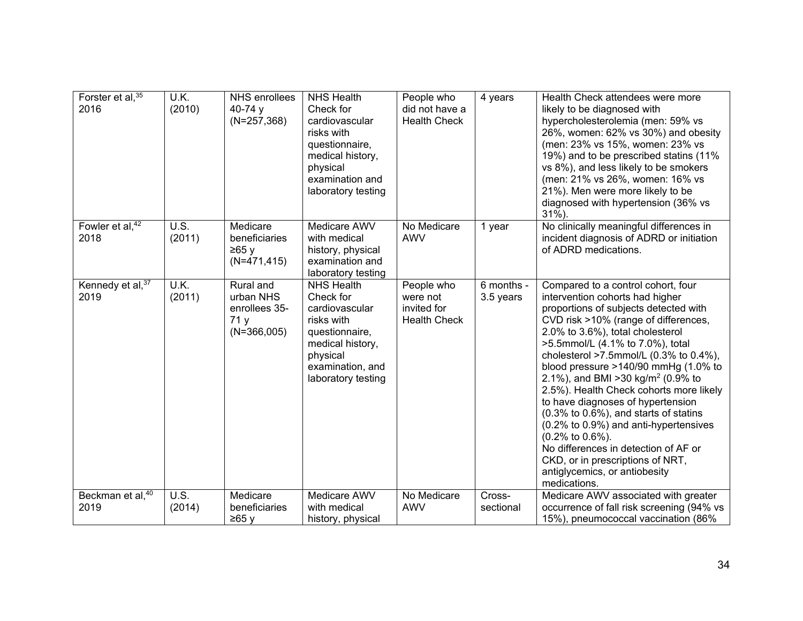| Forster et al, $35$<br>2016               | U.K.<br>(2010) | NHS enrollees<br>40-74 $y$<br>$(N=257,368)$                      | <b>NHS Health</b><br>Check for<br>cardiovascular<br>risks with<br>questionnaire,<br>medical history,<br>physical<br>examination and<br>laboratory testing  | People who<br>did not have a<br><b>Health Check</b>          | 4 years                 | Health Check attendees were more<br>likely to be diagnosed with<br>hypercholesterolemia (men: 59% vs<br>26%, women: 62% vs 30%) and obesity<br>(men: 23% vs 15%, women: 23% vs<br>19%) and to be prescribed statins (11%<br>vs 8%), and less likely to be smokers<br>(men: 21% vs 26%, women: 16% vs<br>21%). Men were more likely to be<br>diagnosed with hypertension (36% vs<br>$31\%$ ).                                                                                                                                                                                                                                                                                                  |
|-------------------------------------------|----------------|------------------------------------------------------------------|------------------------------------------------------------------------------------------------------------------------------------------------------------|--------------------------------------------------------------|-------------------------|-----------------------------------------------------------------------------------------------------------------------------------------------------------------------------------------------------------------------------------------------------------------------------------------------------------------------------------------------------------------------------------------------------------------------------------------------------------------------------------------------------------------------------------------------------------------------------------------------------------------------------------------------------------------------------------------------|
| Fowler et al, $\sqrt[42]{ }$<br>2018      | U.S.<br>(2011) | Medicare<br>beneficiaries<br>≥65y<br>$(N=471, 415)$              | Medicare AWV<br>with medical<br>history, physical<br>examination and<br>laboratory testing                                                                 | No Medicare<br><b>AWV</b>                                    | 1 year                  | No clinically meaningful differences in<br>incident diagnosis of ADRD or initiation<br>of ADRD medications.                                                                                                                                                                                                                                                                                                                                                                                                                                                                                                                                                                                   |
| Kennedy et $\overline{al}$ , $37$<br>2019 | U.K.<br>(2011) | Rural and<br>urban NHS<br>enrollees 35-<br>71 y<br>$(N=366,005)$ | <b>NHS Health</b><br>Check for<br>cardiovascular<br>risks with<br>questionnaire,<br>medical history,<br>physical<br>examination, and<br>laboratory testing | People who<br>were not<br>invited for<br><b>Health Check</b> | 6 months -<br>3.5 years | Compared to a control cohort, four<br>intervention cohorts had higher<br>proportions of subjects detected with<br>CVD risk >10% (range of differences,<br>2.0% to 3.6%), total cholesterol<br>>5.5mmol/L (4.1% to 7.0%), total<br>cholesterol >7.5mmol/L $(0.3\%$ to $0.4\%$ ),<br>blood pressure $>140/90$ mmHg (1.0% to<br>2.1%), and BMI > 30 kg/m <sup>2</sup> (0.9% to<br>2.5%). Health Check cohorts more likely<br>to have diagnoses of hypertension<br>(0.3% to 0.6%), and starts of statins<br>(0.2% to 0.9%) and anti-hypertensives<br>(0.2% to 0.6%).<br>No differences in detection of AF or<br>CKD, or in prescriptions of NRT,<br>antiglycemics, or antiobesity<br>medications. |
| Beckman et al, <sup>40</sup><br>2019      | U.S.<br>(2014) | Medicare<br>beneficiaries<br>≥65 y                               | Medicare AWV<br>with medical<br>history, physical                                                                                                          | No Medicare<br><b>AWV</b>                                    | Cross-<br>sectional     | Medicare AWV associated with greater<br>occurrence of fall risk screening (94% vs<br>15%), pneumococcal vaccination (86%                                                                                                                                                                                                                                                                                                                                                                                                                                                                                                                                                                      |